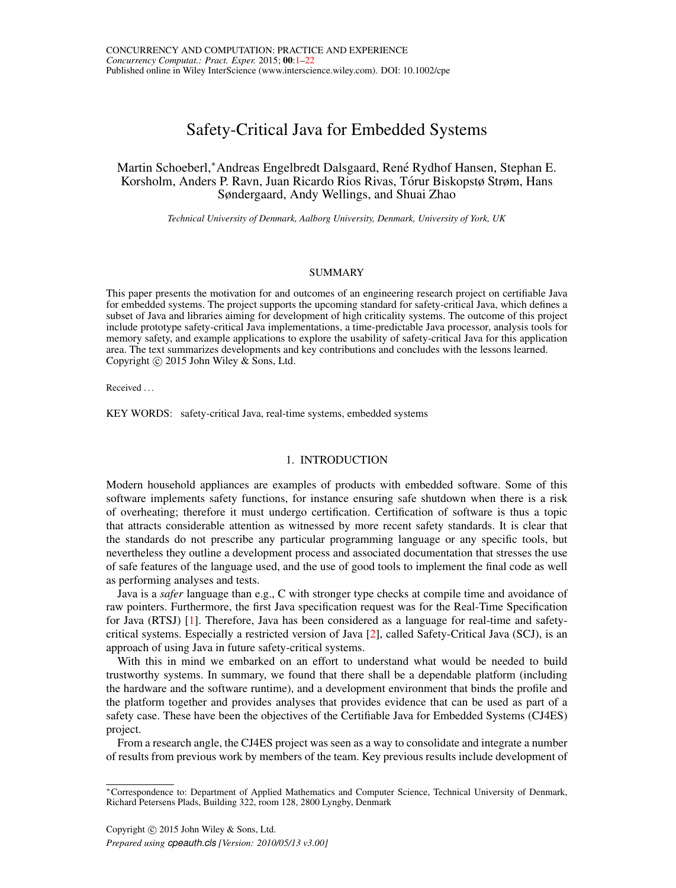# Safety-Critical Java for Embedded Systems

# <span id="page-0-0"></span>Martin Schoeberl,<sup>∗</sup>Andreas Engelbredt Dalsgaard, Rene Rydhof Hansen, Stephan E. ´ Korsholm, Anders P. Ravn, Juan Ricardo Rios Rivas, Torur Biskopstø Strøm, Hans ´ Søndergaard, Andy Wellings, and Shuai Zhao

*Technical University of Denmark, Aalborg University, Denmark, University of York, UK*

## SUMMARY

This paper presents the motivation for and outcomes of an engineering research project on certifiable Java for embedded systems. The project supports the upcoming standard for safety-critical Java, which defines a subset of Java and libraries aiming for development of high criticality systems. The outcome of this project include prototype safety-critical Java implementations, a time-predictable Java processor, analysis tools for memory safety, and example applications to explore the usability of safety-critical Java for this application area. The text summarizes developments and key contributions and concludes with the lessons learned. Copyright  $\circled{c}$  2015 John Wiley & Sons, Ltd.

Received . . .

KEY WORDS: safety-critical Java, real-time systems, embedded systems

## 1. INTRODUCTION

Modern household appliances are examples of products with embedded software. Some of this software implements safety functions, for instance ensuring safe shutdown when there is a risk of overheating; therefore it must undergo certification. Certification of software is thus a topic that attracts considerable attention as witnessed by more recent safety standards. It is clear that the standards do not prescribe any particular programming language or any specific tools, but nevertheless they outline a development process and associated documentation that stresses the use of safe features of the language used, and the use of good tools to implement the final code as well as performing analyses and tests.

Java is a *safer* language than e.g., C with stronger type checks at compile time and avoidance of raw pointers. Furthermore, the first Java specification request was for the Real-Time Specification for Java (RTSJ) [\[1\]](#page-19-1). Therefore, Java has been considered as a language for real-time and safetycritical systems. Especially a restricted version of Java [\[2\]](#page-19-2), called Safety-Critical Java (SCJ), is an approach of using Java in future safety-critical systems.

With this in mind we embarked on an effort to understand what would be needed to build trustworthy systems. In summary, we found that there shall be a dependable platform (including the hardware and the software runtime), and a development environment that binds the profile and the platform together and provides analyses that provides evidence that can be used as part of a safety case. These have been the objectives of the Certifiable Java for Embedded Systems (CJ4ES) project.

From a research angle, the CJ4ES project was seen as a way to consolidate and integrate a number of results from previous work by members of the team. Key previous results include development of

<sup>∗</sup>Correspondence to: Department of Applied Mathematics and Computer Science, Technical University of Denmark, Richard Petersens Plads, Building 322, room 128, 2800 Lyngby, Denmark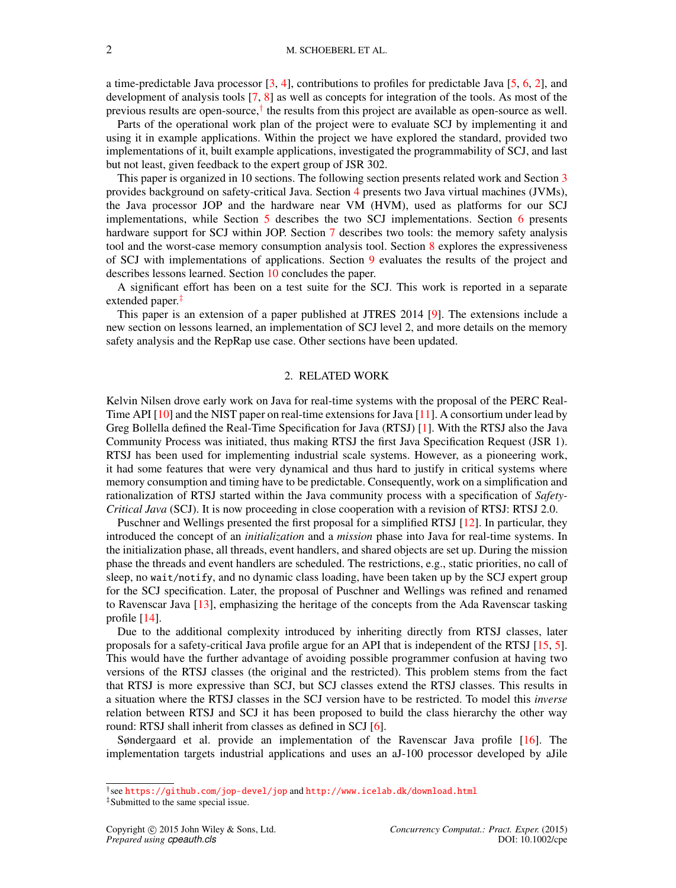a time-predictable Java processor [\[3,](#page-19-3) [4\]](#page-19-4), contributions to profiles for predictable Java [\[5,](#page-19-5) [6,](#page-19-6) [2\]](#page-19-2), and development of analysis tools [\[7,](#page-19-7) [8\]](#page-19-8) as well as concepts for integration of the tools. As most of the previous results are open-source,<sup>[†](#page-1-0)</sup> the results from this project are available as open-source as well.

Parts of the operational work plan of the project were to evaluate SCJ by implementing it and using it in example applications. Within the project we have explored the standard, provided two implementations of it, built example applications, investigated the programmability of SCJ, and last but not least, given feedback to the expert group of JSR 302.

This paper is organized in 10 sections. The following section presents related work and Section [3](#page-2-0) provides background on safety-critical Java. Section [4](#page-3-0) presents two Java virtual machines (JVMs), the Java processor JOP and the hardware near VM (HVM), used as platforms for our SCJ implementations, while Section [5](#page-6-0) describes the two SCJ implementations. Section [6](#page-10-0) presents hardware support for SCJ within JOP. Section [7](#page-11-0) describes two tools: the memory safety analysis tool and the worst-case memory consumption analysis tool. Section [8](#page-14-0) explores the expressiveness of SCJ with implementations of applications. Section [9](#page-16-0) evaluates the results of the project and describes lessons learned. Section [10](#page-19-9) concludes the paper.

A significant effort has been on a test suite for the SCJ. This work is reported in a separate extended paper.[‡](#page-1-1)

This paper is an extension of a paper published at JTRES 2014 [\[9\]](#page-19-10). The extensions include a new section on lessons learned, an implementation of SCJ level 2, and more details on the memory safety analysis and the RepRap use case. Other sections have been updated.

## 2. RELATED WORK

Kelvin Nilsen drove early work on Java for real-time systems with the proposal of the PERC Real-Time API [\[10\]](#page-19-11) and the NIST paper on real-time extensions for Java [\[11\]](#page-19-12). A consortium under lead by Greg Bollella defined the Real-Time Specification for Java (RTSJ) [\[1\]](#page-19-1). With the RTSJ also the Java Community Process was initiated, thus making RTSJ the first Java Specification Request (JSR 1). RTSJ has been used for implementing industrial scale systems. However, as a pioneering work, it had some features that were very dynamical and thus hard to justify in critical systems where memory consumption and timing have to be predictable. Consequently, work on a simplification and rationalization of RTSJ started within the Java community process with a specification of *Safety-Critical Java* (SCJ). It is now proceeding in close cooperation with a revision of RTSJ: RTSJ 2.0.

Puschner and Wellings presented the first proposal for a simplified RTSJ [\[12\]](#page-19-13). In particular, they introduced the concept of an *initialization* and a *mission* phase into Java for real-time systems. In the initialization phase, all threads, event handlers, and shared objects are set up. During the mission phase the threads and event handlers are scheduled. The restrictions, e.g., static priorities, no call of sleep, no wait/notify, and no dynamic class loading, have been taken up by the SCJ expert group for the SCJ specification. Later, the proposal of Puschner and Wellings was refined and renamed to Ravenscar Java [\[13\]](#page-19-14), emphasizing the heritage of the concepts from the Ada Ravenscar tasking profile [\[14\]](#page-20-0).

Due to the additional complexity introduced by inheriting directly from RTSJ classes, later proposals for a safety-critical Java profile argue for an API that is independent of the RTSJ [\[15,](#page-20-1) [5\]](#page-19-5). This would have the further advantage of avoiding possible programmer confusion at having two versions of the RTSJ classes (the original and the restricted). This problem stems from the fact that RTSJ is more expressive than SCJ, but SCJ classes extend the RTSJ classes. This results in a situation where the RTSJ classes in the SCJ version have to be restricted. To model this *inverse* relation between RTSJ and SCJ it has been proposed to build the class hierarchy the other way round: RTSJ shall inherit from classes as defined in SCJ [\[6\]](#page-19-6).

Søndergaard et al. provide an implementation of the Ravenscar Java profile [\[16\]](#page-20-2). The implementation targets industrial applications and uses an aJ-100 processor developed by aJile

<span id="page-1-0"></span><sup>†</sup> see <https://github.com/jop-devel/jop> and <http://www.icelab.dk/download.html>

<span id="page-1-1"></span><sup>‡</sup>Submitted to the same special issue.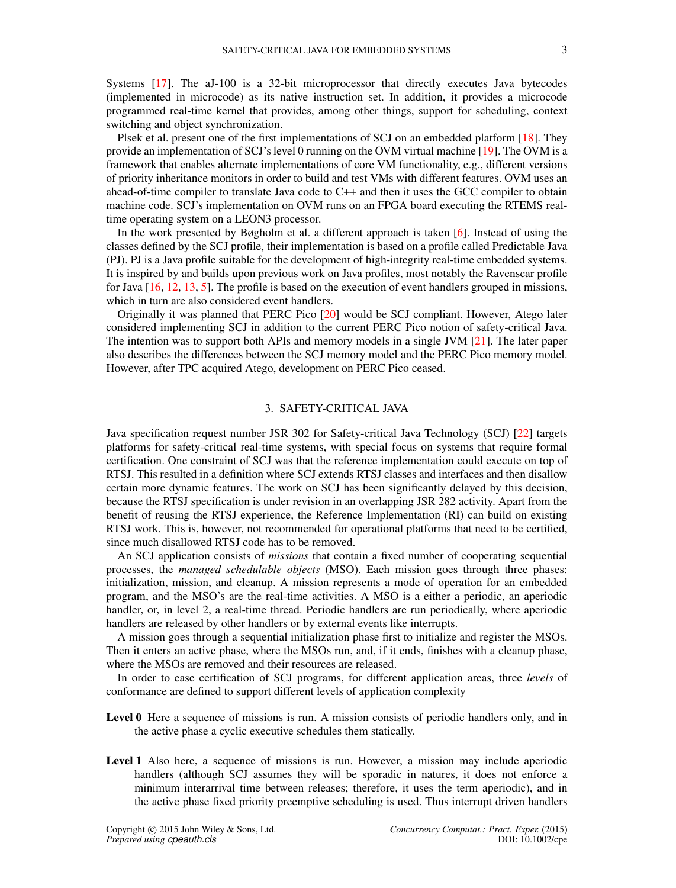Systems [\[17\]](#page-20-3). The aJ-100 is a 32-bit microprocessor that directly executes Java bytecodes (implemented in microcode) as its native instruction set. In addition, it provides a microcode programmed real-time kernel that provides, among other things, support for scheduling, context switching and object synchronization.

Plsek et al. present one of the first implementations of SCJ on an embedded platform [\[18\]](#page-20-4). They provide an implementation of SCJ's level 0 running on the OVM virtual machine [\[19\]](#page-20-5). The OVM is a framework that enables alternate implementations of core VM functionality, e.g., different versions of priority inheritance monitors in order to build and test VMs with different features. OVM uses an ahead-of-time compiler to translate Java code to C++ and then it uses the GCC compiler to obtain machine code. SCJ's implementation on OVM runs on an FPGA board executing the RTEMS realtime operating system on a LEON3 processor.

In the work presented by Bøgholm et al. a different approach is taken [\[6\]](#page-19-6). Instead of using the classes defined by the SCJ profile, their implementation is based on a profile called Predictable Java (PJ). PJ is a Java profile suitable for the development of high-integrity real-time embedded systems. It is inspired by and builds upon previous work on Java profiles, most notably the Ravenscar profile for Java [\[16,](#page-20-2) [12,](#page-19-13) [13,](#page-19-14) [5\]](#page-19-5). The profile is based on the execution of event handlers grouped in missions, which in turn are also considered event handlers.

Originally it was planned that PERC Pico [\[20\]](#page-20-6) would be SCJ compliant. However, Atego later considered implementing SCJ in addition to the current PERC Pico notion of safety-critical Java. The intention was to support both APIs and memory models in a single JVM [\[21\]](#page-20-7). The later paper also describes the differences between the SCJ memory model and the PERC Pico memory model. However, after TPC acquired Atego, development on PERC Pico ceased.

## 3. SAFETY-CRITICAL JAVA

<span id="page-2-0"></span>Java specification request number JSR 302 for Safety-critical Java Technology (SCJ) [\[22\]](#page-20-8) targets platforms for safety-critical real-time systems, with special focus on systems that require formal certification. One constraint of SCJ was that the reference implementation could execute on top of RTSJ. This resulted in a definition where SCJ extends RTSJ classes and interfaces and then disallow certain more dynamic features. The work on SCJ has been significantly delayed by this decision, because the RTSJ specification is under revision in an overlapping JSR 282 activity. Apart from the benefit of reusing the RTSJ experience, the Reference Implementation (RI) can build on existing RTSJ work. This is, however, not recommended for operational platforms that need to be certified, since much disallowed RTSJ code has to be removed.

An SCJ application consists of *missions* that contain a fixed number of cooperating sequential processes, the *managed schedulable objects* (MSO). Each mission goes through three phases: initialization, mission, and cleanup. A mission represents a mode of operation for an embedded program, and the MSO's are the real-time activities. A MSO is a either a periodic, an aperiodic handler, or, in level 2, a real-time thread. Periodic handlers are run periodically, where aperiodic handlers are released by other handlers or by external events like interrupts.

A mission goes through a sequential initialization phase first to initialize and register the MSOs. Then it enters an active phase, where the MSOs run, and, if it ends, finishes with a cleanup phase, where the MSOs are removed and their resources are released.

In order to ease certification of SCJ programs, for different application areas, three *levels* of conformance are defined to support different levels of application complexity

- Level 0 Here a sequence of missions is run. A mission consists of periodic handlers only, and in the active phase a cyclic executive schedules them statically.
- Level 1 Also here, a sequence of missions is run. However, a mission may include aperiodic handlers (although SCJ assumes they will be sporadic in natures, it does not enforce a minimum interarrival time between releases; therefore, it uses the term aperiodic), and in the active phase fixed priority preemptive scheduling is used. Thus interrupt driven handlers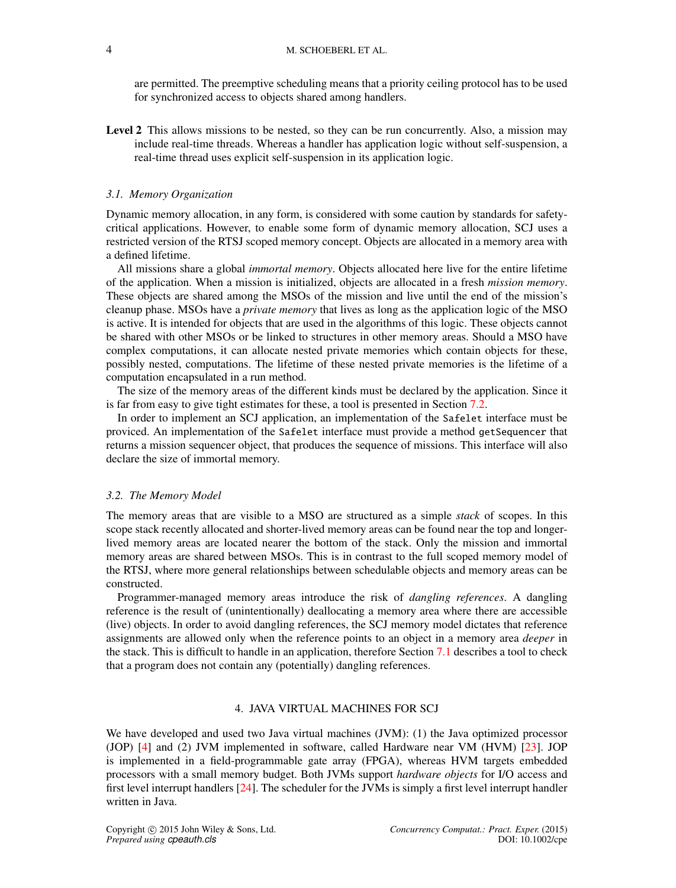are permitted. The preemptive scheduling means that a priority ceiling protocol has to be used for synchronized access to objects shared among handlers.

Level 2 This allows missions to be nested, so they can be run concurrently. Also, a mission may include real-time threads. Whereas a handler has application logic without self-suspension, a real-time thread uses explicit self-suspension in its application logic.

## *3.1. Memory Organization*

Dynamic memory allocation, in any form, is considered with some caution by standards for safetycritical applications. However, to enable some form of dynamic memory allocation, SCJ uses a restricted version of the RTSJ scoped memory concept. Objects are allocated in a memory area with a defined lifetime.

All missions share a global *immortal memory*. Objects allocated here live for the entire lifetime of the application. When a mission is initialized, objects are allocated in a fresh *mission memory*. These objects are shared among the MSOs of the mission and live until the end of the mission's cleanup phase. MSOs have a *private memory* that lives as long as the application logic of the MSO is active. It is intended for objects that are used in the algorithms of this logic. These objects cannot be shared with other MSOs or be linked to structures in other memory areas. Should a MSO have complex computations, it can allocate nested private memories which contain objects for these, possibly nested, computations. The lifetime of these nested private memories is the lifetime of a computation encapsulated in a run method.

The size of the memory areas of the different kinds must be declared by the application. Since it is far from easy to give tight estimates for these, a tool is presented in Section [7.2.](#page-13-0)

In order to implement an SCJ application, an implementation of the Safelet interface must be proviced. An implementation of the Safelet interface must provide a method getSequencer that returns a mission sequencer object, that produces the sequence of missions. This interface will also declare the size of immortal memory.

## <span id="page-3-1"></span>*3.2. The Memory Model*

The memory areas that are visible to a MSO are structured as a simple *stack* of scopes. In this scope stack recently allocated and shorter-lived memory areas can be found near the top and longerlived memory areas are located nearer the bottom of the stack. Only the mission and immortal memory areas are shared between MSOs. This is in contrast to the full scoped memory model of the RTSJ, where more general relationships between schedulable objects and memory areas can be constructed.

Programmer-managed memory areas introduce the risk of *dangling references*. A dangling reference is the result of (unintentionally) deallocating a memory area where there are accessible (live) objects. In order to avoid dangling references, the SCJ memory model dictates that reference assignments are allowed only when the reference points to an object in a memory area *deeper* in the stack. This is difficult to handle in an application, therefore Section [7.1](#page-11-1) describes a tool to check that a program does not contain any (potentially) dangling references.

# 4. JAVA VIRTUAL MACHINES FOR SCJ

<span id="page-3-0"></span>We have developed and used two Java virtual machines (JVM): (1) the Java optimized processor (JOP) [\[4\]](#page-19-4) and (2) JVM implemented in software, called Hardware near VM (HVM) [\[23\]](#page-20-9). JOP is implemented in a field-programmable gate array (FPGA), whereas HVM targets embedded processors with a small memory budget. Both JVMs support *hardware objects* for I/O access and first level interrupt handlers [\[24\]](#page-20-10). The scheduler for the JVMs is simply a first level interrupt handler written in Java.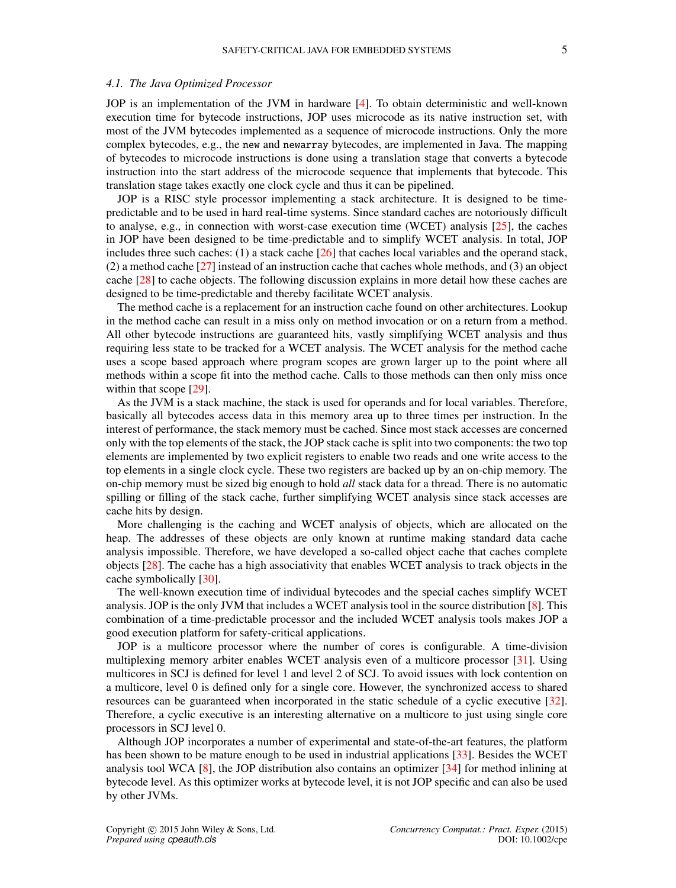# *4.1. The Java Optimized Processor*

JOP is an implementation of the JVM in hardware [\[4\]](#page-19-4). To obtain deterministic and well-known execution time for bytecode instructions, JOP uses microcode as its native instruction set, with most of the JVM bytecodes implemented as a sequence of microcode instructions. Only the more complex bytecodes, e.g., the new and newarray bytecodes, are implemented in Java. The mapping of bytecodes to microcode instructions is done using a translation stage that converts a bytecode instruction into the start address of the microcode sequence that implements that bytecode. This translation stage takes exactly one clock cycle and thus it can be pipelined.

JOP is a RISC style processor implementing a stack architecture. It is designed to be timepredictable and to be used in hard real-time systems. Since standard caches are notoriously difficult to analyse, e.g., in connection with worst-case execution time (WCET) analysis  $[25]$ , the caches in JOP have been designed to be time-predictable and to simplify WCET analysis. In total, JOP includes three such caches: (1) a stack cache  $[26]$  that caches local variables and the operand stack, (2) a method cache [\[27\]](#page-20-13) instead of an instruction cache that caches whole methods, and (3) an object cache [\[28\]](#page-20-14) to cache objects. The following discussion explains in more detail how these caches are designed to be time-predictable and thereby facilitate WCET analysis.

The method cache is a replacement for an instruction cache found on other architectures. Lookup in the method cache can result in a miss only on method invocation or on a return from a method. All other bytecode instructions are guaranteed hits, vastly simplifying WCET analysis and thus requiring less state to be tracked for a WCET analysis. The WCET analysis for the method cache uses a scope based approach where program scopes are grown larger up to the point where all methods within a scope fit into the method cache. Calls to those methods can then only miss once within that scope [\[29\]](#page-20-15).

As the JVM is a stack machine, the stack is used for operands and for local variables. Therefore, basically all bytecodes access data in this memory area up to three times per instruction. In the interest of performance, the stack memory must be cached. Since most stack accesses are concerned only with the top elements of the stack, the JOP stack cache is split into two components: the two top elements are implemented by two explicit registers to enable two reads and one write access to the top elements in a single clock cycle. These two registers are backed up by an on-chip memory. The on-chip memory must be sized big enough to hold *all* stack data for a thread. There is no automatic spilling or filling of the stack cache, further simplifying WCET analysis since stack accesses are cache hits by design.

More challenging is the caching and WCET analysis of objects, which are allocated on the heap. The addresses of these objects are only known at runtime making standard data cache analysis impossible. Therefore, we have developed a so-called object cache that caches complete objects [\[28\]](#page-20-14). The cache has a high associativity that enables WCET analysis to track objects in the cache symbolically [\[30\]](#page-20-16).

The well-known execution time of individual bytecodes and the special caches simplify WCET analysis. JOP is the only JVM that includes a WCET analysis tool in the source distribution [\[8\]](#page-19-8). This combination of a time-predictable processor and the included WCET analysis tools makes JOP a good execution platform for safety-critical applications.

JOP is a multicore processor where the number of cores is configurable. A time-division multiplexing memory arbiter enables WCET analysis even of a multicore processor [\[31\]](#page-20-17). Using multicores in SCJ is defined for level 1 and level 2 of SCJ. To avoid issues with lock contention on a multicore, level 0 is defined only for a single core. However, the synchronized access to shared resources can be guaranteed when incorporated in the static schedule of a cyclic executive [\[32\]](#page-20-18). Therefore, a cyclic executive is an interesting alternative on a multicore to just using single core processors in SCJ level 0.

Although JOP incorporates a number of experimental and state-of-the-art features, the platform has been shown to be mature enough to be used in industrial applications [\[33\]](#page-20-19). Besides the WCET analysis tool WCA  $[8]$ , the JOP distribution also contains an optimizer  $[34]$  for method inlining at bytecode level. As this optimizer works at bytecode level, it is not JOP specific and can also be used by other JVMs.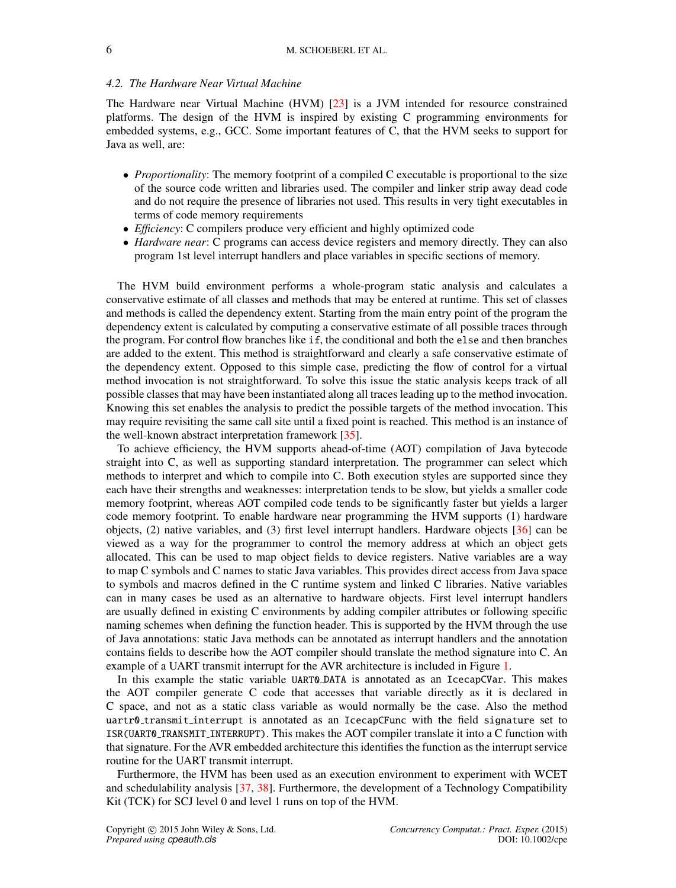## *4.2. The Hardware Near Virtual Machine*

The Hardware near Virtual Machine (HVM) [\[23\]](#page-20-9) is a JVM intended for resource constrained platforms. The design of the HVM is inspired by existing C programming environments for embedded systems, e.g., GCC. Some important features of C, that the HVM seeks to support for Java as well, are:

- *Proportionality*: The memory footprint of a compiled C executable is proportional to the size of the source code written and libraries used. The compiler and linker strip away dead code and do not require the presence of libraries not used. This results in very tight executables in terms of code memory requirements
- *Efficiency*: C compilers produce very efficient and highly optimized code
- *Hardware near*: C programs can access device registers and memory directly. They can also program 1st level interrupt handlers and place variables in specific sections of memory.

The HVM build environment performs a whole-program static analysis and calculates a conservative estimate of all classes and methods that may be entered at runtime. This set of classes and methods is called the dependency extent. Starting from the main entry point of the program the dependency extent is calculated by computing a conservative estimate of all possible traces through the program. For control flow branches like if, the conditional and both the else and then branches are added to the extent. This method is straightforward and clearly a safe conservative estimate of the dependency extent. Opposed to this simple case, predicting the flow of control for a virtual method invocation is not straightforward. To solve this issue the static analysis keeps track of all possible classes that may have been instantiated along all traces leading up to the method invocation. Knowing this set enables the analysis to predict the possible targets of the method invocation. This may require revisiting the same call site until a fixed point is reached. This method is an instance of the well-known abstract interpretation framework [\[35\]](#page-20-21).

To achieve efficiency, the HVM supports ahead-of-time (AOT) compilation of Java bytecode straight into C, as well as supporting standard interpretation. The programmer can select which methods to interpret and which to compile into C. Both execution styles are supported since they each have their strengths and weaknesses: interpretation tends to be slow, but yields a smaller code memory footprint, whereas AOT compiled code tends to be significantly faster but yields a larger code memory footprint. To enable hardware near programming the HVM supports (1) hardware objects, (2) native variables, and (3) first level interrupt handlers. Hardware objects [\[36\]](#page-20-22) can be viewed as a way for the programmer to control the memory address at which an object gets allocated. This can be used to map object fields to device registers. Native variables are a way to map C symbols and C names to static Java variables. This provides direct access from Java space to symbols and macros defined in the C runtime system and linked C libraries. Native variables can in many cases be used as an alternative to hardware objects. First level interrupt handlers are usually defined in existing C environments by adding compiler attributes or following specific naming schemes when defining the function header. This is supported by the HVM through the use of Java annotations: static Java methods can be annotated as interrupt handlers and the annotation contains fields to describe how the AOT compiler should translate the method signature into C. An example of a UART transmit interrupt for the AVR architecture is included in Figure [1.](#page-6-1)

In this example the static variable UART0 DATA is annotated as an IcecapCVar. This makes the AOT compiler generate C code that accesses that variable directly as it is declared in C space, and not as a static class variable as would normally be the case. Also the method uartr0\_transmit\_interrupt is annotated as an IcecapCFunc with the field signature set to ISR(UART0 TRANSMIT INTERRUPT). This makes the AOT compiler translate it into a C function with that signature. For the AVR embedded architecture this identifies the function as the interrupt service routine for the UART transmit interrupt.

Furthermore, the HVM has been used as an execution environment to experiment with WCET and schedulability analysis [\[37,](#page-20-23) [38\]](#page-20-24). Furthermore, the development of a Technology Compatibility Kit (TCK) for SCJ level 0 and level 1 runs on top of the HVM.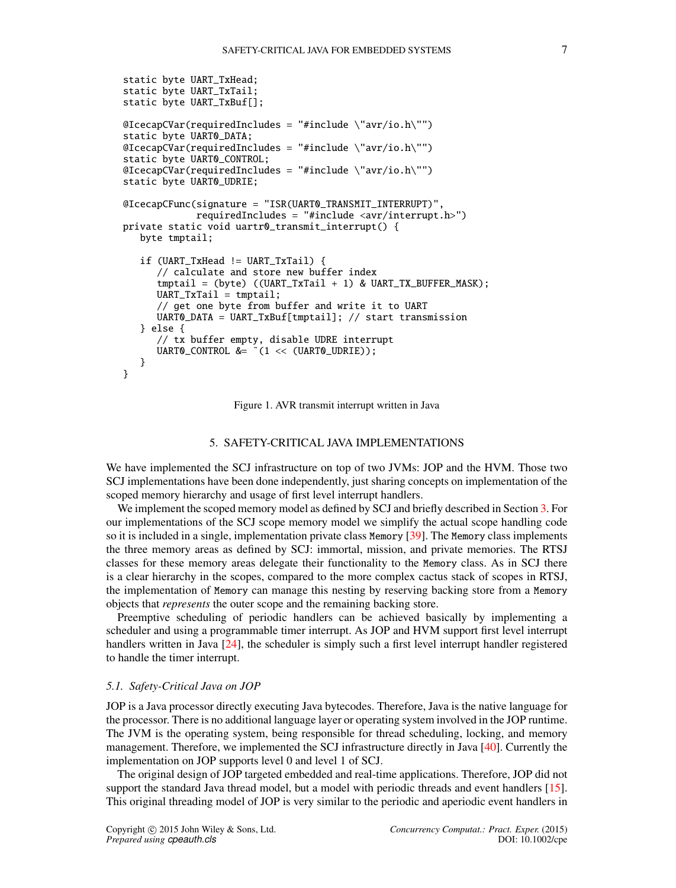```
static byte UART_TxHead;
static byte UART_TxTail;
static byte UART_TxBuf[];
@IcecapCVar(requiredIncludes = "#include \ \Psi" avr/io.h\"")static byte UART0_DATA;
@IcecapCVar(requiredIncludes = "#include \ \Psi" avr/io.h\"")static byte UART0_CONTROL;
@IcecapCVar(requiredIncludes = "#include \ \Psi" avr/io.h\"")static byte UART0_UDRIE;
@IcecapCFunc(signature = "ISR(UART0_TRANSMIT_INTERRUPT)",
             requiredIncludes = "#include <avr/interrupt.h>")
private static void uartr0_transmit_interrupt() {
   byte tmptail;
   if (UART_TxHead != UART_TxTail) {
      // calculate and store new buffer index
      tmptail = (byte) ((UART_TxTail + 1) & UART_TX_BUFFER_MASK);
      UART_TxTail = tmptail;// get one byte from buffer and write it to UART
      UART0_DATA = UART_TxBuf[tmptail]; // start transmission
   } else {
      // tx buffer empty, disable UDRE interrupt
      UART0_CONTROL &= (1 \ll (UART0_UDRIE));
   }
}
```
Figure 1. AVR transmit interrupt written in Java

#### 5. SAFETY-CRITICAL JAVA IMPLEMENTATIONS

<span id="page-6-0"></span>We have implemented the SCJ infrastructure on top of two JVMs: JOP and the HVM. Those two SCJ implementations have been done independently, just sharing concepts on implementation of the scoped memory hierarchy and usage of first level interrupt handlers.

We implement the scoped memory model as defined by SCJ and briefly described in Section [3.](#page-2-0) For our implementations of the SCJ scope memory model we simplify the actual scope handling code so it is included in a single, implementation private class Memory [\[39\]](#page-20-25). The Memory class implements the three memory areas as defined by SCJ: immortal, mission, and private memories. The RTSJ classes for these memory areas delegate their functionality to the Memory class. As in SCJ there is a clear hierarchy in the scopes, compared to the more complex cactus stack of scopes in RTSJ, the implementation of Memory can manage this nesting by reserving backing store from a Memory objects that *represents* the outer scope and the remaining backing store.

Preemptive scheduling of periodic handlers can be achieved basically by implementing a scheduler and using a programmable timer interrupt. As JOP and HVM support first level interrupt handlers written in Java [\[24\]](#page-20-10), the scheduler is simply such a first level interrupt handler registered to handle the timer interrupt.

#### *5.1. Safety-Critical Java on JOP*

JOP is a Java processor directly executing Java bytecodes. Therefore, Java is the native language for the processor. There is no additional language layer or operating system involved in the JOP runtime. The JVM is the operating system, being responsible for thread scheduling, locking, and memory management. Therefore, we implemented the SCJ infrastructure directly in Java [\[40\]](#page-20-26). Currently the implementation on JOP supports level 0 and level 1 of SCJ.

The original design of JOP targeted embedded and real-time applications. Therefore, JOP did not support the standard Java thread model, but a model with periodic threads and event handlers [\[15\]](#page-20-1). This original threading model of JOP is very similar to the periodic and aperiodic event handlers in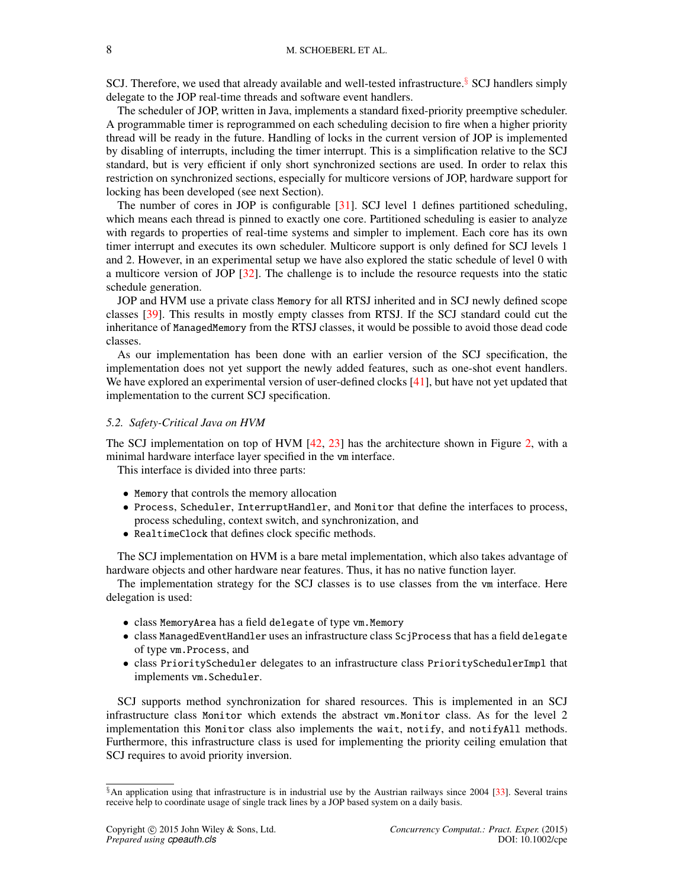SCJ. Therefore, we used that already available and well-tested infrastructure.[§](#page-7-0) SCJ handlers simply delegate to the JOP real-time threads and software event handlers.

The scheduler of JOP, written in Java, implements a standard fixed-priority preemptive scheduler. A programmable timer is reprogrammed on each scheduling decision to fire when a higher priority thread will be ready in the future. Handling of locks in the current version of JOP is implemented by disabling of interrupts, including the timer interrupt. This is a simplification relative to the SCJ standard, but is very efficient if only short synchronized sections are used. In order to relax this restriction on synchronized sections, especially for multicore versions of JOP, hardware support for locking has been developed (see next Section).

The number of cores in JOP is configurable [\[31\]](#page-20-17). SCJ level 1 defines partitioned scheduling, which means each thread is pinned to exactly one core. Partitioned scheduling is easier to analyze with regards to properties of real-time systems and simpler to implement. Each core has its own timer interrupt and executes its own scheduler. Multicore support is only defined for SCJ levels 1 and 2. However, in an experimental setup we have also explored the static schedule of level 0 with a multicore version of JOP [\[32\]](#page-20-18). The challenge is to include the resource requests into the static schedule generation.

JOP and HVM use a private class Memory for all RTSJ inherited and in SCJ newly defined scope classes [\[39\]](#page-20-25). This results in mostly empty classes from RTSJ. If the SCJ standard could cut the inheritance of ManagedMemory from the RTSJ classes, it would be possible to avoid those dead code classes.

As our implementation has been done with an earlier version of the SCJ specification, the implementation does not yet support the newly added features, such as one-shot event handlers. We have explored an experimental version of user-defined clocks [\[41\]](#page-20-27), but have not yet updated that implementation to the current SCJ specification.

## *5.2. Safety-Critical Java on HVM*

The SCJ implementation on top of HVM [\[42,](#page-21-0) [23\]](#page-20-9) has the architecture shown in Figure [2,](#page-8-0) with a minimal hardware interface layer specified in the vm interface.

This interface is divided into three parts:

- Memory that controls the memory allocation
- Process, Scheduler, InterruptHandler, and Monitor that define the interfaces to process, process scheduling, context switch, and synchronization, and
- RealtimeClock that defines clock specific methods.

The SCJ implementation on HVM is a bare metal implementation, which also takes advantage of hardware objects and other hardware near features. Thus, it has no native function layer.

The implementation strategy for the SCJ classes is to use classes from the vm interface. Here delegation is used:

- class MemoryArea has a field delegate of type vm.Memory
- class ManagedEventHandler uses an infrastructure class ScjProcess that has a field delegate of type vm.Process, and
- class PriorityScheduler delegates to an infrastructure class PrioritySchedulerImpl that implements vm.Scheduler.

SCJ supports method synchronization for shared resources. This is implemented in an SCJ infrastructure class Monitor which extends the abstract vm.Monitor class. As for the level 2 implementation this Monitor class also implements the wait, notify, and notifyAll methods. Furthermore, this infrastructure class is used for implementing the priority ceiling emulation that SCJ requires to avoid priority inversion.

<span id="page-7-0"></span><sup>§</sup>An application using that infrastructure is in industrial use by the Austrian railways since 2004 [\[33\]](#page-20-19). Several trains receive help to coordinate usage of single track lines by a JOP based system on a daily basis.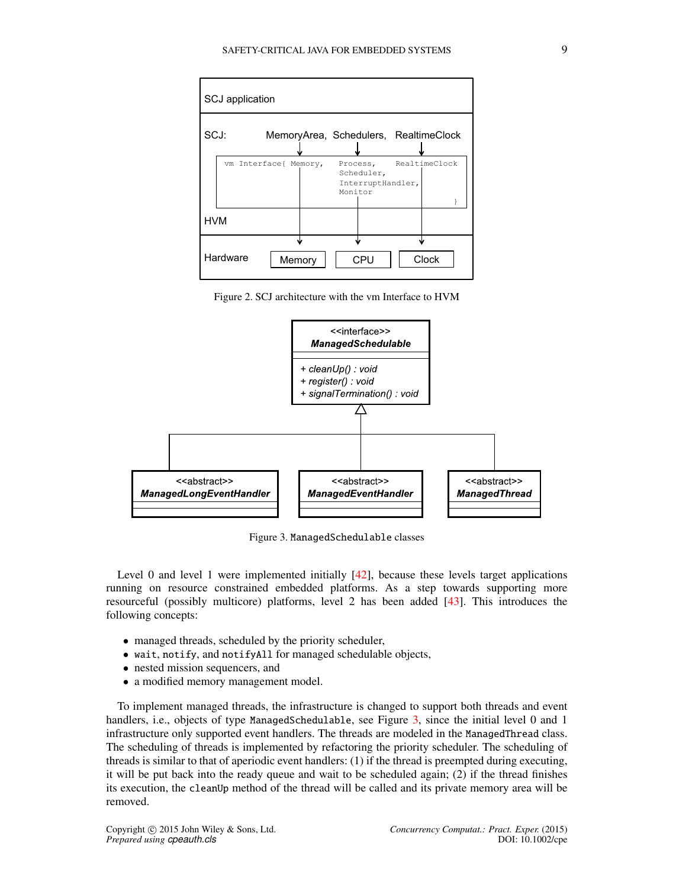<span id="page-8-0"></span>

Figure 2. SCJ architecture with the vm Interface to HVM

<span id="page-8-1"></span>

Figure 3. ManagedSchedulable classes

Level 0 and level 1 were implemented initially [\[42\]](#page-21-0), because these levels target applications running on resource constrained embedded platforms. As a step towards supporting more resourceful (possibly multicore) platforms, level 2 has been added [\[43\]](#page-21-1). This introduces the following concepts:

- managed threads, scheduled by the priority scheduler,
- wait, notify, and notifyAll for managed schedulable objects,
- nested mission sequencers, and
- a modified memory management model.

To implement managed threads, the infrastructure is changed to support both threads and event handlers, i.e., objects of type ManagedSchedulable, see Figure [3,](#page-8-1) since the initial level 0 and 1 infrastructure only supported event handlers. The threads are modeled in the ManagedThread class. The scheduling of threads is implemented by refactoring the priority scheduler. The scheduling of threads is similar to that of aperiodic event handlers: (1) if the thread is preempted during executing, it will be put back into the ready queue and wait to be scheduled again; (2) if the thread finishes its execution, the cleanUp method of the thread will be called and its private memory area will be removed.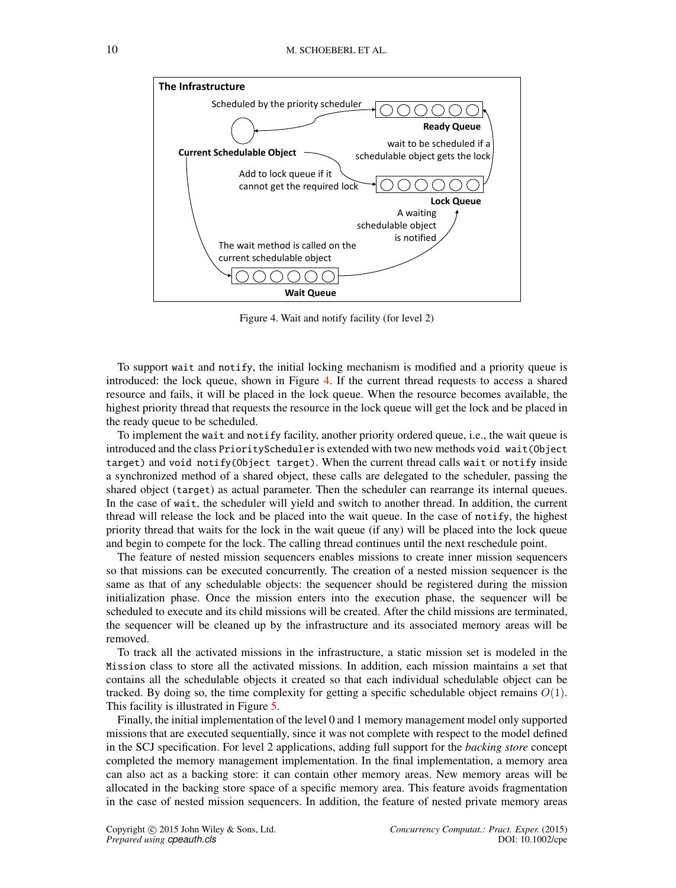<span id="page-9-0"></span>

Figure 4. Wait and notify facility (for level 2)

To support wait and notify, the initial locking mechanism is modified and a priority queue is introduced: the lock queue, shown in Figure [4.](#page-9-0) If the current thread requests to access a shared resource and fails, it will be placed in the lock queue. When the resource becomes available, the highest priority thread that requests the resource in the lock queue will get the lock and be placed in the ready queue to be scheduled.

To implement the wait and notify facility, another priority ordered queue, i.e., the wait queue is introduced and the class PriorityScheduler is extended with two new methods void wait(Object target) and void notify(Object target). When the current thread calls wait or notify inside a synchronized method of a shared object, these calls are delegated to the scheduler, passing the shared object (target) as actual parameter. Then the scheduler can rearrange its internal queues. In the case of wait, the scheduler will yield and switch to another thread. In addition, the current thread will release the lock and be placed into the wait queue. In the case of notify, the highest priority thread that waits for the lock in the wait queue (if any) will be placed into the lock queue and begin to compete for the lock. The calling thread continues until the next reschedule point.

The feature of nested mission sequencers enables missions to create inner mission sequencers so that missions can be executed concurrently. The creation of a nested mission sequencer is the same as that of any schedulable objects: the sequencer should be registered during the mission initialization phase. Once the mission enters into the execution phase, the sequencer will be scheduled to execute and its child missions will be created. After the child missions are terminated, the sequencer will be cleaned up by the infrastructure and its associated memory areas will be removed.

To track all the activated missions in the infrastructure, a static mission set is modeled in the Mission class to store all the activated missions. In addition, each mission maintains a set that contains all the schedulable objects it created so that each individual schedulable object can be tracked. By doing so, the time complexity for getting a specific schedulable object remains  $O(1)$ . This facility is illustrated in Figure [5.](#page-10-1)

Finally, the initial implementation of the level 0 and 1 memory management model only supported missions that are executed sequentially, since it was not complete with respect to the model defined in the SCJ specification. For level 2 applications, adding full support for the *backing store* concept completed the memory management implementation. In the final implementation, a memory area can also act as a backing store: it can contain other memory areas. New memory areas will be allocated in the backing store space of a specific memory area. This feature avoids fragmentation in the case of nested mission sequencers. In addition, the feature of nested private memory areas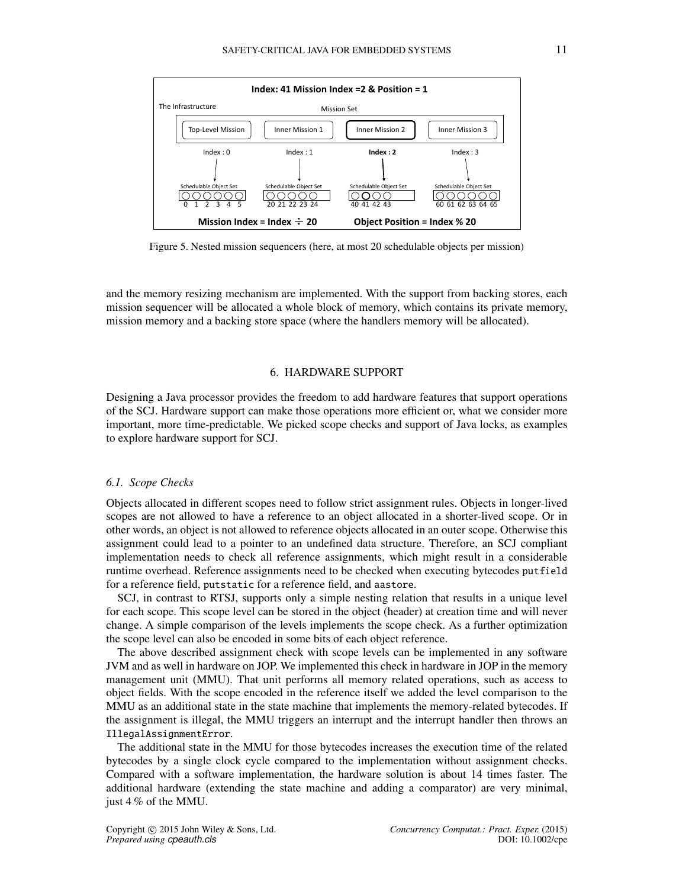<span id="page-10-1"></span>

Figure 5. Nested mission sequencers (here, at most 20 schedulable objects per mission)

and the memory resizing mechanism are implemented. With the support from backing stores, each mission sequencer will be allocated a whole block of memory, which contains its private memory, mission memory and a backing store space (where the handlers memory will be allocated).

## 6. HARDWARE SUPPORT

<span id="page-10-0"></span>Designing a Java processor provides the freedom to add hardware features that support operations of the SCJ. Hardware support can make those operations more efficient or, what we consider more important, more time-predictable. We picked scope checks and support of Java locks, as examples to explore hardware support for SCJ.

## *6.1. Scope Checks*

Objects allocated in different scopes need to follow strict assignment rules. Objects in longer-lived scopes are not allowed to have a reference to an object allocated in a shorter-lived scope. Or in other words, an object is not allowed to reference objects allocated in an outer scope. Otherwise this assignment could lead to a pointer to an undefined data structure. Therefore, an SCJ compliant implementation needs to check all reference assignments, which might result in a considerable runtime overhead. Reference assignments need to be checked when executing bytecodes putfield for a reference field, putstatic for a reference field, and aastore.

SCJ, in contrast to RTSJ, supports only a simple nesting relation that results in a unique level for each scope. This scope level can be stored in the object (header) at creation time and will never change. A simple comparison of the levels implements the scope check. As a further optimization the scope level can also be encoded in some bits of each object reference.

The above described assignment check with scope levels can be implemented in any software JVM and as well in hardware on JOP. We implemented this check in hardware in JOP in the memory management unit (MMU). That unit performs all memory related operations, such as access to object fields. With the scope encoded in the reference itself we added the level comparison to the MMU as an additional state in the state machine that implements the memory-related bytecodes. If the assignment is illegal, the MMU triggers an interrupt and the interrupt handler then throws an IllegalAssignmentError.

The additional state in the MMU for those bytecodes increases the execution time of the related bytecodes by a single clock cycle compared to the implementation without assignment checks. Compared with a software implementation, the hardware solution is about 14 times faster. The additional hardware (extending the state machine and adding a comparator) are very minimal, just 4 % of the MMU.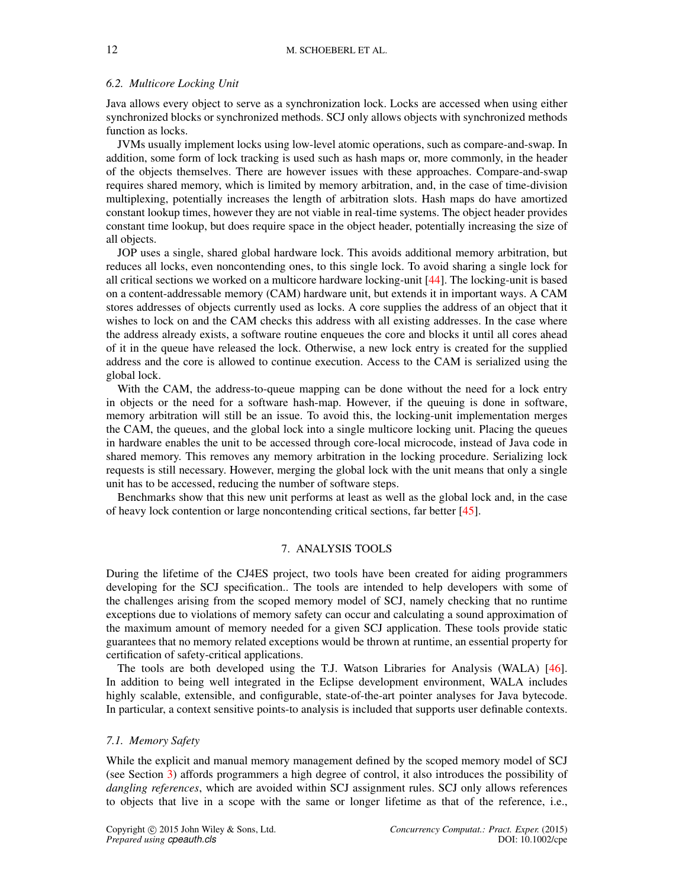## *6.2. Multicore Locking Unit*

Java allows every object to serve as a synchronization lock. Locks are accessed when using either synchronized blocks or synchronized methods. SCJ only allows objects with synchronized methods function as locks.

JVMs usually implement locks using low-level atomic operations, such as compare-and-swap. In addition, some form of lock tracking is used such as hash maps or, more commonly, in the header of the objects themselves. There are however issues with these approaches. Compare-and-swap requires shared memory, which is limited by memory arbitration, and, in the case of time-division multiplexing, potentially increases the length of arbitration slots. Hash maps do have amortized constant lookup times, however they are not viable in real-time systems. The object header provides constant time lookup, but does require space in the object header, potentially increasing the size of all objects.

JOP uses a single, shared global hardware lock. This avoids additional memory arbitration, but reduces all locks, even noncontending ones, to this single lock. To avoid sharing a single lock for all critical sections we worked on a multicore hardware locking-unit [\[44\]](#page-21-2). The locking-unit is based on a content-addressable memory (CAM) hardware unit, but extends it in important ways. A CAM stores addresses of objects currently used as locks. A core supplies the address of an object that it wishes to lock on and the CAM checks this address with all existing addresses. In the case where the address already exists, a software routine enqueues the core and blocks it until all cores ahead of it in the queue have released the lock. Otherwise, a new lock entry is created for the supplied address and the core is allowed to continue execution. Access to the CAM is serialized using the global lock.

With the CAM, the address-to-queue mapping can be done without the need for a lock entry in objects or the need for a software hash-map. However, if the queuing is done in software, memory arbitration will still be an issue. To avoid this, the locking-unit implementation merges the CAM, the queues, and the global lock into a single multicore locking unit. Placing the queues in hardware enables the unit to be accessed through core-local microcode, instead of Java code in shared memory. This removes any memory arbitration in the locking procedure. Serializing lock requests is still necessary. However, merging the global lock with the unit means that only a single unit has to be accessed, reducing the number of software steps.

Benchmarks show that this new unit performs at least as well as the global lock and, in the case of heavy lock contention or large noncontending critical sections, far better [\[45\]](#page-21-3).

## 7. ANALYSIS TOOLS

<span id="page-11-0"></span>During the lifetime of the CJ4ES project, two tools have been created for aiding programmers developing for the SCJ specification.. The tools are intended to help developers with some of the challenges arising from the scoped memory model of SCJ, namely checking that no runtime exceptions due to violations of memory safety can occur and calculating a sound approximation of the maximum amount of memory needed for a given SCJ application. These tools provide static guarantees that no memory related exceptions would be thrown at runtime, an essential property for certification of safety-critical applications.

The tools are both developed using the T.J. Watson Libraries for Analysis (WALA) [\[46\]](#page-21-4). In addition to being well integrated in the Eclipse development environment, WALA includes highly scalable, extensible, and configurable, state-of-the-art pointer analyses for Java bytecode. In particular, a context sensitive points-to analysis is included that supports user definable contexts.

## <span id="page-11-1"></span>*7.1. Memory Safety*

While the explicit and manual memory management defined by the scoped memory model of SCJ (see Section [3\)](#page-2-0) affords programmers a high degree of control, it also introduces the possibility of *dangling references*, which are avoided within SCJ assignment rules. SCJ only allows references to objects that live in a scope with the same or longer lifetime as that of the reference, i.e.,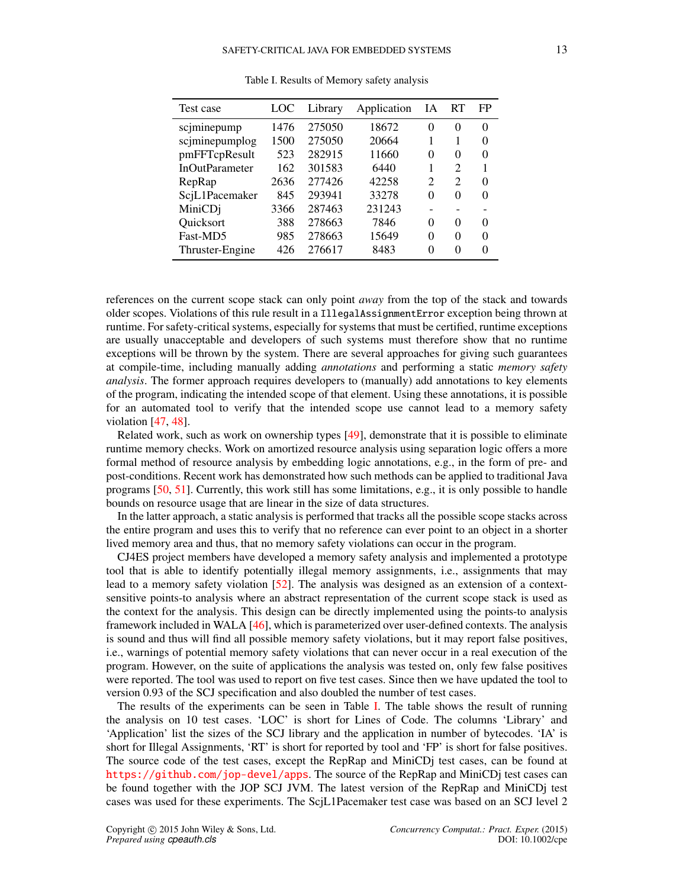<span id="page-12-0"></span>

| Test case             | LOC  | Library | Application | IΑ | RT             | FP |
|-----------------------|------|---------|-------------|----|----------------|----|
| sciminepump           | 1476 | 275050  | 18672       | 0  | 0              | 0  |
| sciminepumplog        | 1500 | 275050  | 20664       |    |                | 0  |
| pmFFTcpResult         | 523  | 282915  | 11660       | 0  | 0              | 0  |
| <b>InOutParameter</b> | 162  | 301583  | 6440        |    | $\mathfrak{D}$ |    |
| RepRap                | 2636 | 277426  | 42258       | 2  | $\mathfrak{D}$ | 0  |
| ScjL1Pacemaker        | 845  | 293941  | 33278       | 0  | 0              | 0  |
| MiniCDj               | 3366 | 287463  | 231243      |    |                |    |
| Quicksort             | 388  | 278663  | 7846        | 0  | 0              | 0  |
| Fast-MD5              | 985  | 278663  | 15649       | 0  | 0              | 0  |
| Thruster-Engine       | 426  | 276617  | 8483        | 0  | 0              | 0  |

Table I. Results of Memory safety analysis

references on the current scope stack can only point *away* from the top of the stack and towards older scopes. Violations of this rule result in a IllegalAssignmentError exception being thrown at runtime. For safety-critical systems, especially for systems that must be certified, runtime exceptions are usually unacceptable and developers of such systems must therefore show that no runtime exceptions will be thrown by the system. There are several approaches for giving such guarantees at compile-time, including manually adding *annotations* and performing a static *memory safety analysis*. The former approach requires developers to (manually) add annotations to key elements of the program, indicating the intended scope of that element. Using these annotations, it is possible for an automated tool to verify that the intended scope use cannot lead to a memory safety violation [\[47,](#page-21-5) [48\]](#page-21-6).

Related work, such as work on ownership types [\[49\]](#page-21-7), demonstrate that it is possible to eliminate runtime memory checks. Work on amortized resource analysis using separation logic offers a more formal method of resource analysis by embedding logic annotations, e.g., in the form of pre- and post-conditions. Recent work has demonstrated how such methods can be applied to traditional Java programs [\[50,](#page-21-8) [51\]](#page-21-9). Currently, this work still has some limitations, e.g., it is only possible to handle bounds on resource usage that are linear in the size of data structures.

In the latter approach, a static analysis is performed that tracks all the possible scope stacks across the entire program and uses this to verify that no reference can ever point to an object in a shorter lived memory area and thus, that no memory safety violations can occur in the program.

CJ4ES project members have developed a memory safety analysis and implemented a prototype tool that is able to identify potentially illegal memory assignments, i.e., assignments that may lead to a memory safety violation [\[52\]](#page-21-10). The analysis was designed as an extension of a contextsensitive points-to analysis where an abstract representation of the current scope stack is used as the context for the analysis. This design can be directly implemented using the points-to analysis framework included in WALA [\[46\]](#page-21-4), which is parameterized over user-defined contexts. The analysis is sound and thus will find all possible memory safety violations, but it may report false positives, i.e., warnings of potential memory safety violations that can never occur in a real execution of the program. However, on the suite of applications the analysis was tested on, only few false positives were reported. The tool was used to report on five test cases. Since then we have updated the tool to version 0.93 of the SCJ specification and also doubled the number of test cases.

The results of the experiments can be seen in Table [I.](#page-12-0) The table shows the result of running the analysis on 10 test cases. 'LOC' is short for Lines of Code. The columns 'Library' and 'Application' list the sizes of the SCJ library and the application in number of bytecodes. 'IA' is short for Illegal Assignments, 'RT' is short for reported by tool and 'FP' is short for false positives. The source code of the test cases, except the RepRap and MiniCDj test cases, can be found at <https://github.com/jop-devel/apps>. The source of the RepRap and MiniCDj test cases can be found together with the JOP SCJ JVM. The latest version of the RepRap and MiniCDj test cases was used for these experiments. The ScjL1Pacemaker test case was based on an SCJ level 2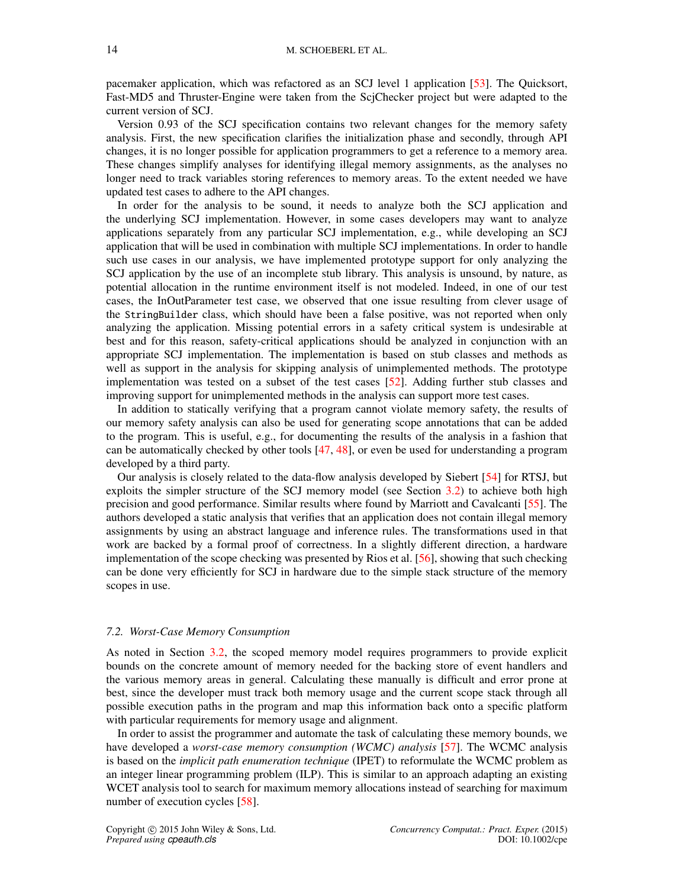pacemaker application, which was refactored as an SCJ level 1 application [\[53\]](#page-21-11). The Quicksort, Fast-MD5 and Thruster-Engine were taken from the ScjChecker project but were adapted to the current version of SCJ.

Version 0.93 of the SCJ specification contains two relevant changes for the memory safety analysis. First, the new specification clarifies the initialization phase and secondly, through API changes, it is no longer possible for application programmers to get a reference to a memory area. These changes simplify analyses for identifying illegal memory assignments, as the analyses no longer need to track variables storing references to memory areas. To the extent needed we have updated test cases to adhere to the API changes.

In order for the analysis to be sound, it needs to analyze both the SCJ application and the underlying SCJ implementation. However, in some cases developers may want to analyze applications separately from any particular SCJ implementation, e.g., while developing an SCJ application that will be used in combination with multiple SCJ implementations. In order to handle such use cases in our analysis, we have implemented prototype support for only analyzing the SCJ application by the use of an incomplete stub library. This analysis is unsound, by nature, as potential allocation in the runtime environment itself is not modeled. Indeed, in one of our test cases, the InOutParameter test case, we observed that one issue resulting from clever usage of the StringBuilder class, which should have been a false positive, was not reported when only analyzing the application. Missing potential errors in a safety critical system is undesirable at best and for this reason, safety-critical applications should be analyzed in conjunction with an appropriate SCJ implementation. The implementation is based on stub classes and methods as well as support in the analysis for skipping analysis of unimplemented methods. The prototype implementation was tested on a subset of the test cases [\[52\]](#page-21-10). Adding further stub classes and improving support for unimplemented methods in the analysis can support more test cases.

In addition to statically verifying that a program cannot violate memory safety, the results of our memory safety analysis can also be used for generating scope annotations that can be added to the program. This is useful, e.g., for documenting the results of the analysis in a fashion that can be automatically checked by other tools [\[47,](#page-21-5) [48\]](#page-21-6), or even be used for understanding a program developed by a third party.

Our analysis is closely related to the data-flow analysis developed by Siebert [\[54\]](#page-21-12) for RTSJ, but exploits the simpler structure of the SCJ memory model (see Section [3.2\)](#page-3-1) to achieve both high precision and good performance. Similar results where found by Marriott and Cavalcanti [\[55\]](#page-21-13). The authors developed a static analysis that verifies that an application does not contain illegal memory assignments by using an abstract language and inference rules. The transformations used in that work are backed by a formal proof of correctness. In a slightly different direction, a hardware implementation of the scope checking was presented by Rios et al. [\[56\]](#page-21-14), showing that such checking can be done very efficiently for SCJ in hardware due to the simple stack structure of the memory scopes in use.

## <span id="page-13-0"></span>*7.2. Worst-Case Memory Consumption*

As noted in Section [3.2,](#page-3-1) the scoped memory model requires programmers to provide explicit bounds on the concrete amount of memory needed for the backing store of event handlers and the various memory areas in general. Calculating these manually is difficult and error prone at best, since the developer must track both memory usage and the current scope stack through all possible execution paths in the program and map this information back onto a specific platform with particular requirements for memory usage and alignment.

In order to assist the programmer and automate the task of calculating these memory bounds, we have developed a *worst-case memory consumption (WCMC) analysis* [\[57\]](#page-21-15). The WCMC analysis is based on the *implicit path enumeration technique* (IPET) to reformulate the WCMC problem as an integer linear programming problem (ILP). This is similar to an approach adapting an existing WCET analysis tool to search for maximum memory allocations instead of searching for maximum number of execution cycles [\[58\]](#page-21-16).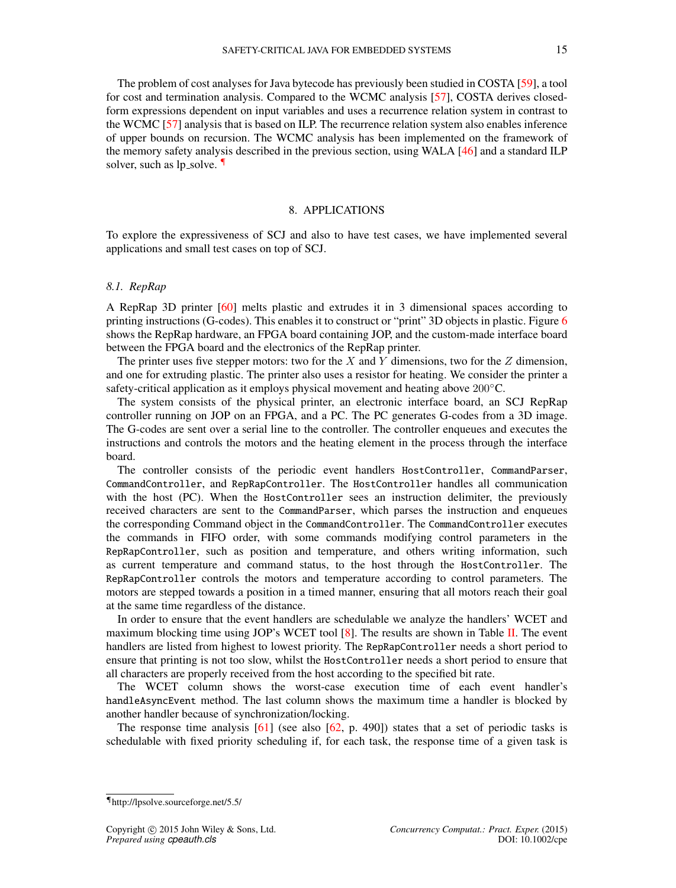The problem of cost analyses for Java bytecode has previously been studied in COSTA [\[59\]](#page-21-17), a tool for cost and termination analysis. Compared to the WCMC analysis [\[57\]](#page-21-15), COSTA derives closedform expressions dependent on input variables and uses a recurrence relation system in contrast to the WCMC [\[57\]](#page-21-15) analysis that is based on ILP. The recurrence relation system also enables inference of upper bounds on recursion. The WCMC analysis has been implemented on the framework of the memory safety analysis described in the previous section, using WALA [\[46\]](#page-21-4) and a standard ILP solver, such as lp\_solve.

## 8. APPLICATIONS

<span id="page-14-0"></span>To explore the expressiveness of SCJ and also to have test cases, we have implemented several applications and small test cases on top of SCJ.

## *8.1. RepRap*

A RepRap 3D printer [\[60\]](#page-21-18) melts plastic and extrudes it in 3 dimensional spaces according to printing instructions (G-codes). This enables it to construct or "print" 3D objects in plastic. Figure [6](#page-15-0) shows the RepRap hardware, an FPGA board containing JOP, and the custom-made interface board between the FPGA board and the electronics of the RepRap printer.

The printer uses five stepper motors: two for the  $X$  and  $Y$  dimensions, two for the  $Z$  dimension, and one for extruding plastic. The printer also uses a resistor for heating. We consider the printer a safety-critical application as it employs physical movement and heating above 200<sup>°</sup>C.

The system consists of the physical printer, an electronic interface board, an SCJ RepRap controller running on JOP on an FPGA, and a PC. The PC generates G-codes from a 3D image. The G-codes are sent over a serial line to the controller. The controller enqueues and executes the instructions and controls the motors and the heating element in the process through the interface board.

The controller consists of the periodic event handlers HostController, CommandParser, CommandController, and RepRapController. The HostController handles all communication with the host (PC). When the HostController sees an instruction delimiter, the previously received characters are sent to the CommandParser, which parses the instruction and enqueues the corresponding Command object in the CommandController. The CommandController executes the commands in FIFO order, with some commands modifying control parameters in the RepRapController, such as position and temperature, and others writing information, such as current temperature and command status, to the host through the HostController. The RepRapController controls the motors and temperature according to control parameters. The motors are stepped towards a position in a timed manner, ensuring that all motors reach their goal at the same time regardless of the distance.

In order to ensure that the event handlers are schedulable we analyze the handlers' WCET and maximum blocking time using JOP's WCET tool  $[8]$ . The results are shown in Table [II.](#page-15-1) The event handlers are listed from highest to lowest priority. The RepRapController needs a short period to ensure that printing is not too slow, whilst the HostController needs a short period to ensure that all characters are properly received from the host according to the specified bit rate.

The WCET column shows the worst-case execution time of each event handler's handleAsyncEvent method. The last column shows the maximum time a handler is blocked by another handler because of synchronization/locking.

The response time analysis [\[61\]](#page-21-19) (see also [\[62,](#page-21-20) p. 490]) states that a set of periodic tasks is schedulable with fixed priority scheduling if, for each task, the response time of a given task is

<span id="page-14-1"></span><sup>¶</sup>http://lpsolve.sourceforge.net/5.5/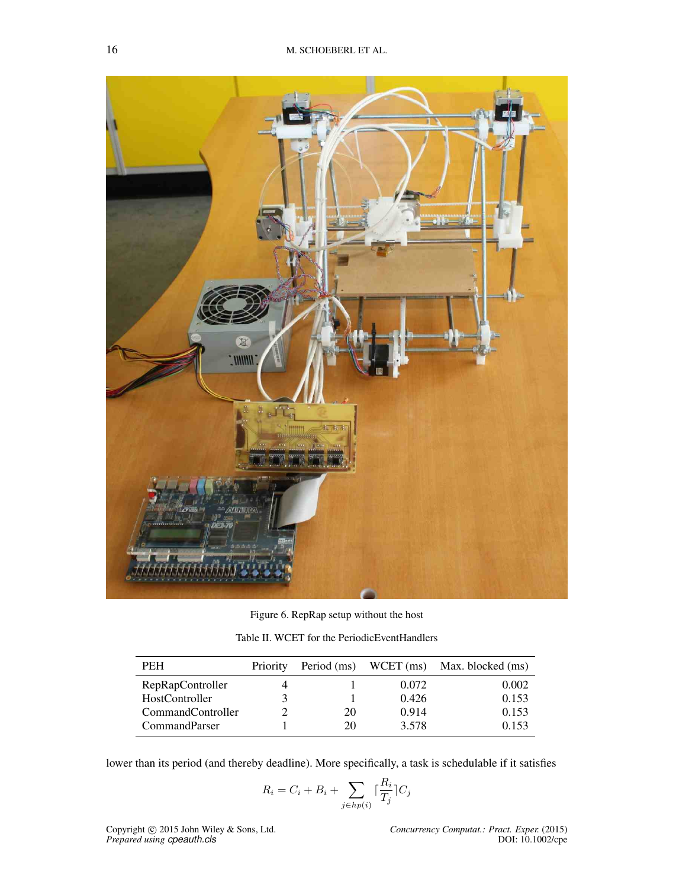<span id="page-15-0"></span>

Figure 6. RepRap setup without the host

| Table II. WCET for the PeriodicEventHandlers |  |  |  |
|----------------------------------------------|--|--|--|
|----------------------------------------------|--|--|--|

<span id="page-15-1"></span>

| <b>PEH</b>            | Priority |    |       | Period (ms) WCET (ms) Max. blocked (ms) |
|-----------------------|----------|----|-------|-----------------------------------------|
| RepRapController      | 4        |    | 0.072 | 0.002                                   |
| <b>HostController</b> |          |    | 0.426 | 0.153                                   |
| CommandController     |          | 20 | 0.914 | 0.153                                   |
| CommandParser         |          | 20 | 3.578 | 0.153                                   |

lower than its period (and thereby deadline). More specifically, a task is schedulable if it satisfies

$$
R_i = C_i + B_i + \sum_{j \in hp(i)} \lceil \frac{R_i}{T_j} \rceil C_j
$$

*Prepared using cpeauth.cls* DOI: 10.1002/cpe

Copyright © 2015 John Wiley & Sons, Ltd. *Concurrency Computat.: Pract. Exper.* (2015)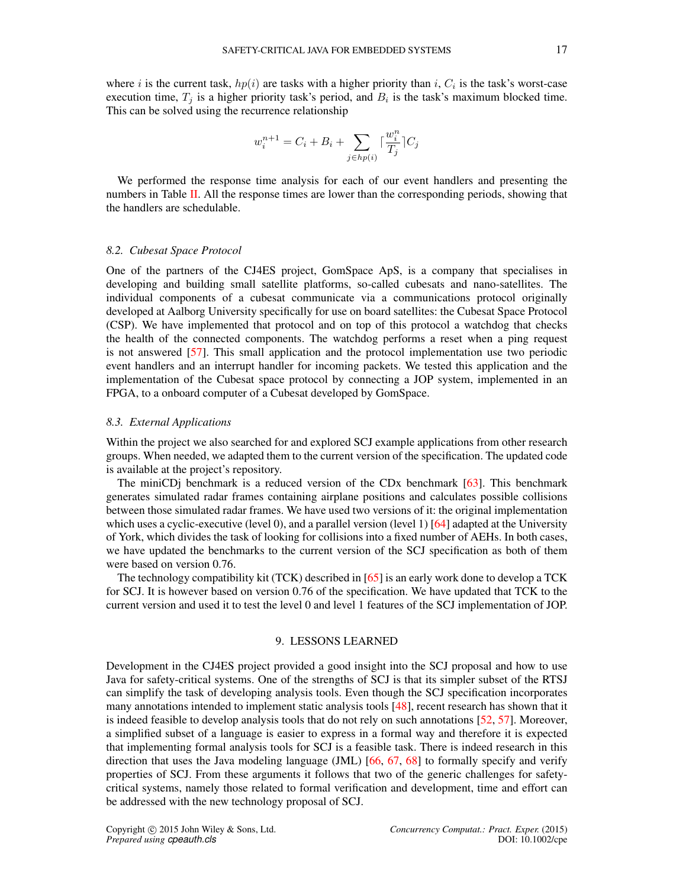where *i* is the current task,  $hp(i)$  are tasks with a higher priority than *i*,  $C_i$  is the task's worst-case execution time,  $T_j$  is a higher priority task's period, and  $B_i$  is the task's maximum blocked time. This can be solved using the recurrence relationship

$$
w_i^{n+1} = C_i + B_i + \sum_{j \in hp(i)} \lceil \frac{w_i^n}{T_j} \rceil C_j
$$

We performed the response time analysis for each of our event handlers and presenting the numbers in Table [II.](#page-15-1) All the response times are lower than the corresponding periods, showing that the handlers are schedulable.

## *8.2. Cubesat Space Protocol*

One of the partners of the CJ4ES project, GomSpace ApS, is a company that specialises in developing and building small satellite platforms, so-called cubesats and nano-satellites. The individual components of a cubesat communicate via a communications protocol originally developed at Aalborg University specifically for use on board satellites: the Cubesat Space Protocol (CSP). We have implemented that protocol and on top of this protocol a watchdog that checks the health of the connected components. The watchdog performs a reset when a ping request is not answered [\[57\]](#page-21-15). This small application and the protocol implementation use two periodic event handlers and an interrupt handler for incoming packets. We tested this application and the implementation of the Cubesat space protocol by connecting a JOP system, implemented in an FPGA, to a onboard computer of a Cubesat developed by GomSpace.

## *8.3. External Applications*

Within the project we also searched for and explored SCJ example applications from other research groups. When needed, we adapted them to the current version of the specification. The updated code is available at the project's repository.

The miniCDj benchmark is a reduced version of the CDx benchmark [\[63\]](#page-21-21). This benchmark generates simulated radar frames containing airplane positions and calculates possible collisions between those simulated radar frames. We have used two versions of it: the original implementation which uses a cyclic-executive (level 0), and a parallel version (level 1)  $[64]$  adapted at the University of York, which divides the task of looking for collisions into a fixed number of AEHs. In both cases, we have updated the benchmarks to the current version of the SCJ specification as both of them were based on version 0.76.

The technology compatibility kit (TCK) described in [\[65\]](#page-21-23) is an early work done to develop a TCK for SCJ. It is however based on version 0.76 of the specification. We have updated that TCK to the current version and used it to test the level 0 and level 1 features of the SCJ implementation of JOP.

## 9. LESSONS LEARNED

<span id="page-16-0"></span>Development in the CJ4ES project provided a good insight into the SCJ proposal and how to use Java for safety-critical systems. One of the strengths of SCJ is that its simpler subset of the RTSJ can simplify the task of developing analysis tools. Even though the SCJ specification incorporates many annotations intended to implement static analysis tools [\[48\]](#page-21-6), recent research has shown that it is indeed feasible to develop analysis tools that do not rely on such annotations [\[52,](#page-21-10) [57\]](#page-21-15). Moreover, a simplified subset of a language is easier to express in a formal way and therefore it is expected that implementing formal analysis tools for SCJ is a feasible task. There is indeed research in this direction that uses the Java modeling language (JML) [\[66,](#page-21-24) [67,](#page-21-25) [68\]](#page-21-26) to formally specify and verify properties of SCJ. From these arguments it follows that two of the generic challenges for safetycritical systems, namely those related to formal verification and development, time and effort can be addressed with the new technology proposal of SCJ.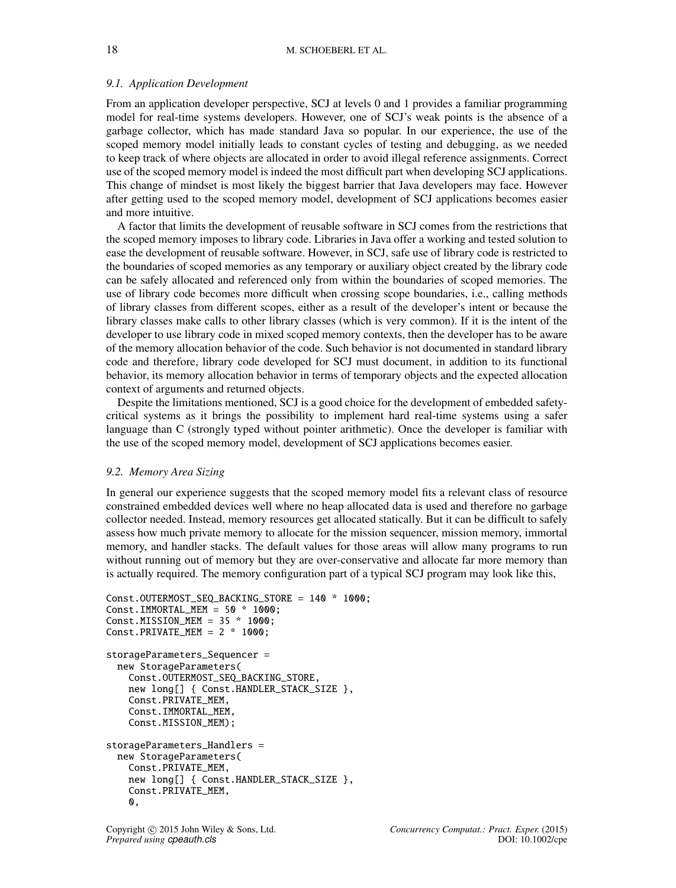## <span id="page-17-0"></span>*9.1. Application Development*

From an application developer perspective, SCJ at levels 0 and 1 provides a familiar programming model for real-time systems developers. However, one of SCJ's weak points is the absence of a garbage collector, which has made standard Java so popular. In our experience, the use of the scoped memory model initially leads to constant cycles of testing and debugging, as we needed to keep track of where objects are allocated in order to avoid illegal reference assignments. Correct use of the scoped memory model is indeed the most difficult part when developing SCJ applications. This change of mindset is most likely the biggest barrier that Java developers may face. However after getting used to the scoped memory model, development of SCJ applications becomes easier and more intuitive.

A factor that limits the development of reusable software in SCJ comes from the restrictions that the scoped memory imposes to library code. Libraries in Java offer a working and tested solution to ease the development of reusable software. However, in SCJ, safe use of library code is restricted to the boundaries of scoped memories as any temporary or auxiliary object created by the library code can be safely allocated and referenced only from within the boundaries of scoped memories. The use of library code becomes more difficult when crossing scope boundaries, i.e., calling methods of library classes from different scopes, either as a result of the developer's intent or because the library classes make calls to other library classes (which is very common). If it is the intent of the developer to use library code in mixed scoped memory contexts, then the developer has to be aware of the memory allocation behavior of the code. Such behavior is not documented in standard library code and therefore, library code developed for SCJ must document, in addition to its functional behavior, its memory allocation behavior in terms of temporary objects and the expected allocation context of arguments and returned objects.

Despite the limitations mentioned, SCJ is a good choice for the development of embedded safetycritical systems as it brings the possibility to implement hard real-time systems using a safer language than C (strongly typed without pointer arithmetic). Once the developer is familiar with the use of the scoped memory model, development of SCJ applications becomes easier.

#### *9.2. Memory Area Sizing*

In general our experience suggests that the scoped memory model fits a relevant class of resource constrained embedded devices well where no heap allocated data is used and therefore no garbage collector needed. Instead, memory resources get allocated statically. But it can be difficult to safely assess how much private memory to allocate for the mission sequencer, mission memory, immortal memory, and handler stacks. The default values for those areas will allow many programs to run without running out of memory but they are over-conservative and allocate far more memory than is actually required. The memory configuration part of a typical SCJ program may look like this,

```
Const.OUTERMOST_SEQ_BACKING_STORE = 140 * 1000;
Const.IMMORTAL_MEM = 50 * 1000;
Const.MISSION_MEM = 35 * 1000;
Const.PRIVATE_MEM = 2 * 1000;storageParameters_Sequencer =
  new StorageParameters(
    Const.OUTERMOST_SEQ_BACKING_STORE,
    new long[] { Const.HANDLER_STACK_SIZE },
    Const.PRIVATE_MEM,
    Const.IMMORTAL_MEM,
    Const.MISSION_MEM);
storageParameters_Handlers =
  new StorageParameters(
    Const.PRIVATE_MEM,
    new long[] { Const.HANDLER_STACK_SIZE },
    Const.PRIVATE_MEM,
    0,
```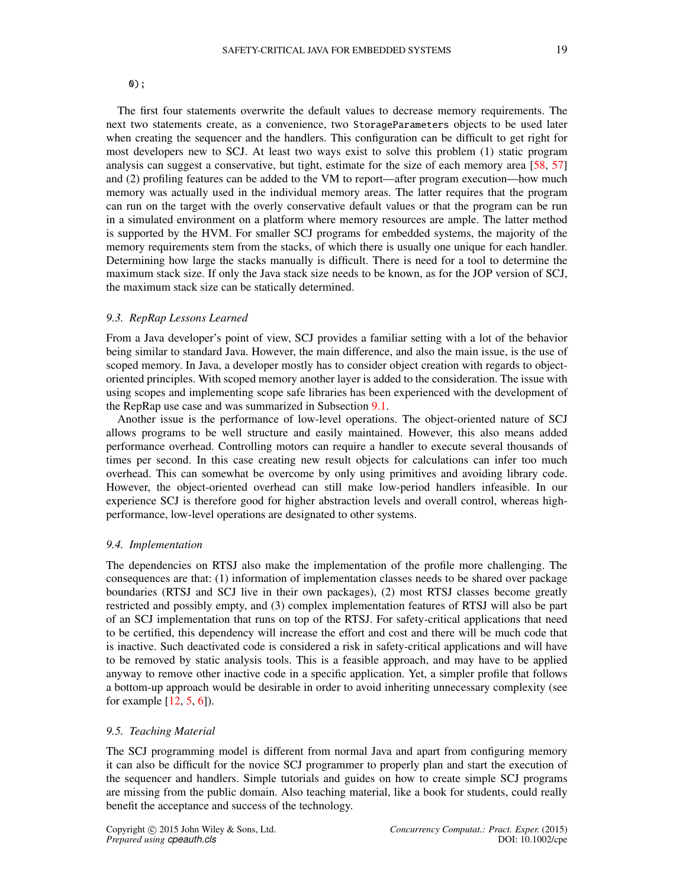## 0);

The first four statements overwrite the default values to decrease memory requirements. The next two statements create, as a convenience, two StorageParameters objects to be used later when creating the sequencer and the handlers. This configuration can be difficult to get right for most developers new to SCJ. At least two ways exist to solve this problem (1) static program analysis can suggest a conservative, but tight, estimate for the size of each memory area [\[58,](#page-21-16) [57\]](#page-21-15) and (2) profiling features can be added to the VM to report—after program execution—how much memory was actually used in the individual memory areas. The latter requires that the program can run on the target with the overly conservative default values or that the program can be run in a simulated environment on a platform where memory resources are ample. The latter method is supported by the HVM. For smaller SCJ programs for embedded systems, the majority of the memory requirements stem from the stacks, of which there is usually one unique for each handler. Determining how large the stacks manually is difficult. There is need for a tool to determine the maximum stack size. If only the Java stack size needs to be known, as for the JOP version of SCJ, the maximum stack size can be statically determined.

## *9.3. RepRap Lessons Learned*

From a Java developer's point of view, SCJ provides a familiar setting with a lot of the behavior being similar to standard Java. However, the main difference, and also the main issue, is the use of scoped memory. In Java, a developer mostly has to consider object creation with regards to objectoriented principles. With scoped memory another layer is added to the consideration. The issue with using scopes and implementing scope safe libraries has been experienced with the development of the RepRap use case and was summarized in Subsection [9.1.](#page-17-0)

Another issue is the performance of low-level operations. The object-oriented nature of SCJ allows programs to be well structure and easily maintained. However, this also means added performance overhead. Controlling motors can require a handler to execute several thousands of times per second. In this case creating new result objects for calculations can infer too much overhead. This can somewhat be overcome by only using primitives and avoiding library code. However, the object-oriented overhead can still make low-period handlers infeasible. In our experience SCJ is therefore good for higher abstraction levels and overall control, whereas highperformance, low-level operations are designated to other systems.

## *9.4. Implementation*

The dependencies on RTSJ also make the implementation of the profile more challenging. The consequences are that: (1) information of implementation classes needs to be shared over package boundaries (RTSJ and SCJ live in their own packages), (2) most RTSJ classes become greatly restricted and possibly empty, and (3) complex implementation features of RTSJ will also be part of an SCJ implementation that runs on top of the RTSJ. For safety-critical applications that need to be certified, this dependency will increase the effort and cost and there will be much code that is inactive. Such deactivated code is considered a risk in safety-critical applications and will have to be removed by static analysis tools. This is a feasible approach, and may have to be applied anyway to remove other inactive code in a specific application. Yet, a simpler profile that follows a bottom-up approach would be desirable in order to avoid inheriting unnecessary complexity (see for example [\[12,](#page-19-13) [5,](#page-19-5) [6\]](#page-19-6)).

## *9.5. Teaching Material*

The SCJ programming model is different from normal Java and apart from configuring memory it can also be difficult for the novice SCJ programmer to properly plan and start the execution of the sequencer and handlers. Simple tutorials and guides on how to create simple SCJ programs are missing from the public domain. Also teaching material, like a book for students, could really benefit the acceptance and success of the technology.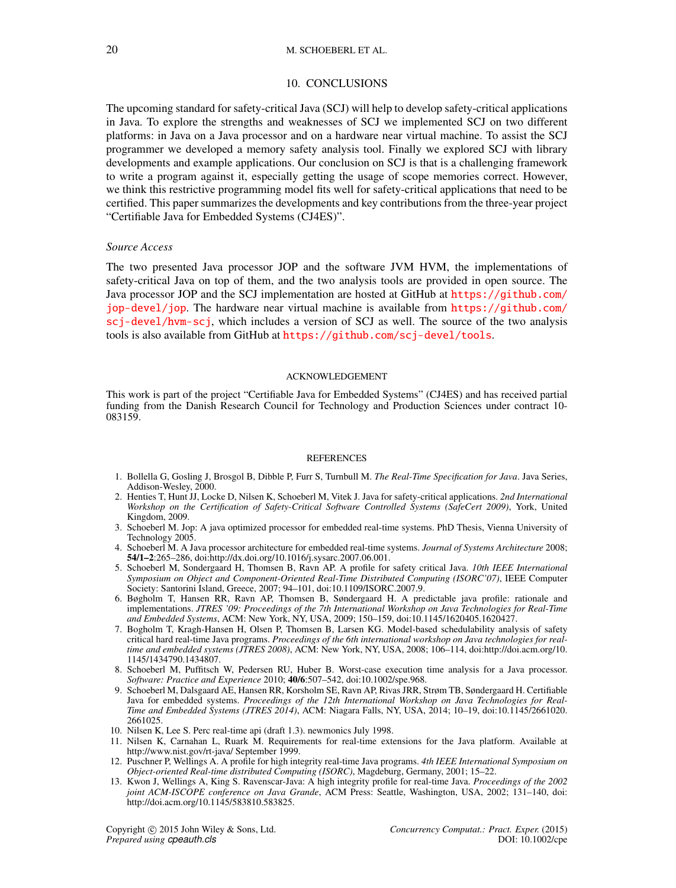#### 10. CONCLUSIONS

<span id="page-19-9"></span>The upcoming standard for safety-critical Java (SCJ) will help to develop safety-critical applications in Java. To explore the strengths and weaknesses of SCJ we implemented SCJ on two different platforms: in Java on a Java processor and on a hardware near virtual machine. To assist the SCJ programmer we developed a memory safety analysis tool. Finally we explored SCJ with library developments and example applications. Our conclusion on SCJ is that is a challenging framework to write a program against it, especially getting the usage of scope memories correct. However, we think this restrictive programming model fits well for safety-critical applications that need to be certified. This paper summarizes the developments and key contributions from the three-year project "Certifiable Java for Embedded Systems (CJ4ES)".

## <span id="page-19-0"></span>*Source Access*

The two presented Java processor JOP and the software JVM HVM, the implementations of safety-critical Java on top of them, and the two analysis tools are provided in open source. The Java processor JOP and the SCJ implementation are hosted at GitHub at [https://github.com/](https://github.com/jop-devel/jop) [jop-devel/jop](https://github.com/jop-devel/jop). The hardware near virtual machine is available from [https://github.com/](https://github.com/scj-devel/hvm-scj) [scj-devel/hvm-scj](https://github.com/scj-devel/hvm-scj), which includes a version of SCJ as well. The source of the two analysis tools is also available from GitHub at <https://github.com/scj-devel/tools>.

## ACKNOWLEDGEMENT

This work is part of the project "Certifiable Java for Embedded Systems" (CJ4ES) and has received partial funding from the Danish Research Council for Technology and Production Sciences under contract 10- 083159.

#### **REFERENCES**

- <span id="page-19-1"></span>1. Bollella G, Gosling J, Brosgol B, Dibble P, Furr S, Turnbull M. *The Real-Time Specification for Java*. Java Series, Addison-Wesley, 2000.
- <span id="page-19-2"></span>2. Henties T, Hunt JJ, Locke D, Nilsen K, Schoeberl M, Vitek J. Java for safety-critical applications. *2nd International Workshop on the Certification of Safety-Critical Software Controlled Systems (SafeCert 2009)*, York, United Kingdom, 2009.
- <span id="page-19-3"></span>3. Schoeberl M. Jop: A java optimized processor for embedded real-time systems. PhD Thesis, Vienna University of Technology 2005.
- <span id="page-19-4"></span>4. Schoeberl M. A Java processor architecture for embedded real-time systems. *Journal of Systems Architecture* 2008; 54/1–2:265–286, doi:http://dx.doi.org/10.1016/j.sysarc.2007.06.001.
- <span id="page-19-5"></span>5. Schoeberl M, Sondergaard H, Thomsen B, Ravn AP. A profile for safety critical Java. *10th IEEE International Symposium on Object and Component-Oriented Real-Time Distributed Computing (ISORC'07)*, IEEE Computer Society: Santorini Island, Greece, 2007; 94–101, doi:10.1109/ISORC.2007.9.
- <span id="page-19-6"></span>6. Bøgholm T, Hansen RR, Ravn AP, Thomsen B, Søndergaard H. A predictable java profile: rationale and implementations. *JTRES '09: Proceedings of the 7th International Workshop on Java Technologies for Real-Time and Embedded Systems*, ACM: New York, NY, USA, 2009; 150–159, doi:10.1145/1620405.1620427.
- <span id="page-19-7"></span>7. Bogholm T, Kragh-Hansen H, Olsen P, Thomsen B, Larsen KG. Model-based schedulability analysis of safety critical hard real-time Java programs. *Proceedings of the 6th international workshop on Java technologies for realtime and embedded systems (JTRES 2008)*, ACM: New York, NY, USA, 2008; 106–114, doi:http://doi.acm.org/10. 1145/1434790.1434807.
- <span id="page-19-8"></span>8. Schoeberl M, Puffitsch W, Pedersen RU, Huber B. Worst-case execution time analysis for a Java processor. *Software: Practice and Experience* 2010; 40/6:507–542, doi:10.1002/spe.968.
- <span id="page-19-10"></span>9. Schoeberl M, Dalsgaard AE, Hansen RR, Korsholm SE, Ravn AP, Rivas JRR, Strøm TB, Søndergaard H. Certifiable Java for embedded systems. *Proceedings of the 12th International Workshop on Java Technologies for Real-Time and Embedded Systems (JTRES 2014)*, ACM: Niagara Falls, NY, USA, 2014; 10–19, doi:10.1145/2661020. 2661025.
- <span id="page-19-11"></span>10. Nilsen K, Lee S. Perc real-time api (draft 1.3). newmonics July 1998.
- <span id="page-19-12"></span>11. Nilsen K, Carnahan L, Ruark M. Requirements for real-time extensions for the Java platform. Available at http://www.nist.gov/rt-java/ September 1999.
- <span id="page-19-13"></span>12. Puschner P, Wellings A. A profile for high integrity real-time Java programs. *4th IEEE International Symposium on Object-oriented Real-time distributed Computing (ISORC)*, Magdeburg, Germany, 2001; 15–22.
- <span id="page-19-14"></span>13. Kwon J, Wellings A, King S. Ravenscar-Java: A high integrity profile for real-time Java. *Proceedings of the 2002 joint ACM-ISCOPE conference on Java Grande*, ACM Press: Seattle, Washington, USA, 2002; 131–140, doi: http://doi.acm.org/10.1145/583810.583825.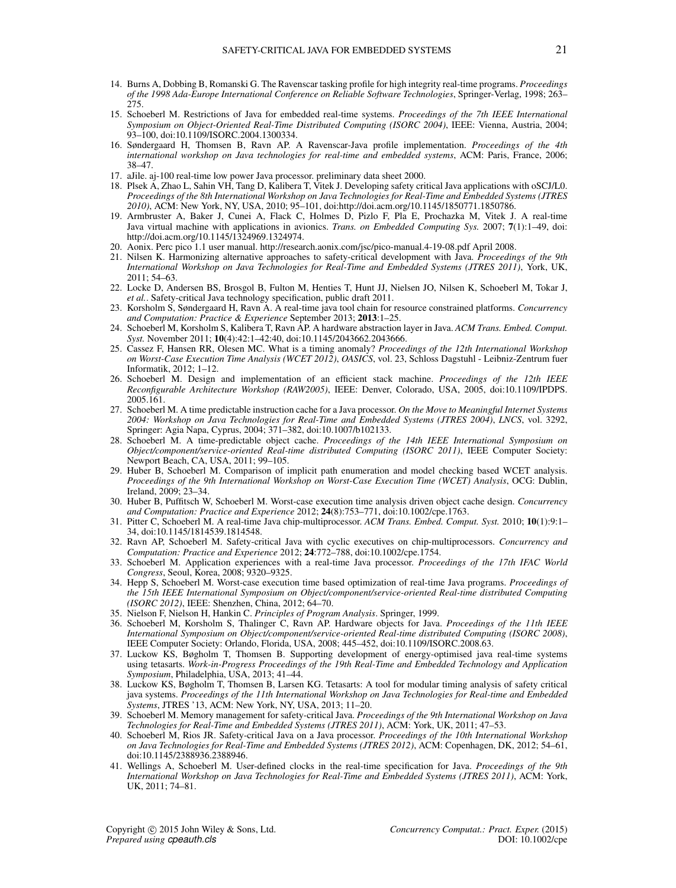- <span id="page-20-0"></span>14. Burns A, Dobbing B, Romanski G. The Ravenscar tasking profile for high integrity real-time programs. *Proceedings of the 1998 Ada-Europe International Conference on Reliable Software Technologies*, Springer-Verlag, 1998; 263– 275.
- <span id="page-20-1"></span>15. Schoeberl M. Restrictions of Java for embedded real-time systems. *Proceedings of the 7th IEEE International Symposium on Object-Oriented Real-Time Distributed Computing (ISORC 2004)*, IEEE: Vienna, Austria, 2004; 93–100, doi:10.1109/ISORC.2004.1300334.
- <span id="page-20-2"></span>16. Søndergaard H, Thomsen B, Ravn AP. A Ravenscar-Java profile implementation. *Proceedings of the 4th international workshop on Java technologies for real-time and embedded systems*, ACM: Paris, France, 2006; 38–47.
- <span id="page-20-3"></span>17. aJile. aj-100 real-time low power Java processor. preliminary data sheet 2000.
- <span id="page-20-4"></span>18. Plsek A, Zhao L, Sahin VH, Tang D, Kalibera T, Vitek J. Developing safety critical Java applications with oSCJ/L0. *Proceedings of the 8th International Workshop on Java Technologies for Real-Time and Embedded Systems (JTRES 2010)*, ACM: New York, NY, USA, 2010; 95–101, doi:http://doi.acm.org/10.1145/1850771.1850786.
- <span id="page-20-5"></span>19. Armbruster A, Baker J, Cunei A, Flack C, Holmes D, Pizlo F, Pla E, Prochazka M, Vitek J. A real-time Java virtual machine with applications in avionics. *Trans. on Embedded Computing Sys.* 2007; 7(1):1–49, doi: http://doi.acm.org/10.1145/1324969.1324974.
- <span id="page-20-6"></span>20. Aonix. Perc pico 1.1 user manual. http://research.aonix.com/jsc/pico-manual.4-19-08.pdf April 2008.
- <span id="page-20-7"></span>21. Nilsen K. Harmonizing alternative approaches to safety-critical development with Java. *Proceedings of the 9th International Workshop on Java Technologies for Real-Time and Embedded Systems (JTRES 2011)*, York, UK, 2011; 54–63.
- <span id="page-20-8"></span>22. Locke D, Andersen BS, Brosgol B, Fulton M, Henties T, Hunt JJ, Nielsen JO, Nilsen K, Schoeberl M, Tokar J, *et al.*. Safety-critical Java technology specification, public draft 2011.
- <span id="page-20-9"></span>23. Korsholm S, Søndergaard H, Ravn A. A real-time java tool chain for resource constrained platforms. *Concurrency and Computation: Practice & Experience* September 2013; 2013:1–25.
- <span id="page-20-10"></span>24. Schoeberl M, Korsholm S, Kalibera T, Ravn AP. A hardware abstraction layer in Java. *ACM Trans. Embed. Comput. Syst.* November 2011; 10(4):42:1–42:40, doi:10.1145/2043662.2043666.
- <span id="page-20-11"></span>25. Cassez F, Hansen RR, Olesen MC. What is a timing anomaly? *Proceedings of the 12th International Workshop on Worst-Case Execution Time Analysis (WCET 2012)*, *OASICS*, vol. 23, Schloss Dagstuhl - Leibniz-Zentrum fuer Informatik, 2012; 1–12.
- <span id="page-20-12"></span>26. Schoeberl M. Design and implementation of an efficient stack machine. *Proceedings of the 12th IEEE Reconfigurable Architecture Workshop (RAW2005)*, IEEE: Denver, Colorado, USA, 2005, doi:10.1109/IPDPS. 2005.161.
- <span id="page-20-13"></span>27. Schoeberl M. A time predictable instruction cache for a Java processor. *On the Move to Meaningful Internet Systems 2004: Workshop on Java Technologies for Real-Time and Embedded Systems (JTRES 2004)*, *LNCS*, vol. 3292, Springer: Agia Napa, Cyprus, 2004; 371–382, doi:10.1007/b102133.
- <span id="page-20-14"></span>28. Schoeberl M. A time-predictable object cache. *Proceedings of the 14th IEEE International Symposium on Object/component/service-oriented Real-time distributed Computing (ISORC 2011)*, IEEE Computer Society: Newport Beach, CA, USA, 2011; 99–105.
- <span id="page-20-15"></span>29. Huber B, Schoeberl M. Comparison of implicit path enumeration and model checking based WCET analysis. *Proceedings of the 9th International Workshop on Worst-Case Execution Time (WCET) Analysis*, OCG: Dublin, Ireland, 2009; 23–34.
- <span id="page-20-16"></span>30. Huber B, Puffitsch W, Schoeberl M. Worst-case execution time analysis driven object cache design. *Concurrency and Computation: Practice and Experience* 2012; 24(8):753–771, doi:10.1002/cpe.1763.
- <span id="page-20-17"></span>31. Pitter C, Schoeberl M. A real-time Java chip-multiprocessor. *ACM Trans. Embed. Comput. Syst.* 2010; 10(1):9:1– 34, doi:10.1145/1814539.1814548.
- <span id="page-20-18"></span>32. Ravn AP, Schoeberl M. Safety-critical Java with cyclic executives on chip-multiprocessors. *Concurrency and Computation: Practice and Experience* 2012; 24:772–788, doi:10.1002/cpe.1754.
- <span id="page-20-19"></span>33. Schoeberl M. Application experiences with a real-time Java processor. *Proceedings of the 17th IFAC World Congress*, Seoul, Korea, 2008; 9320–9325.
- <span id="page-20-20"></span>34. Hepp S, Schoeberl M. Worst-case execution time based optimization of real-time Java programs. *Proceedings of the 15th IEEE International Symposium on Object/component/service-oriented Real-time distributed Computing (ISORC 2012)*, IEEE: Shenzhen, China, 2012; 64–70.
- <span id="page-20-21"></span>35. Nielson F, Nielson H, Hankin C. *Principles of Program Analysis*. Springer, 1999.
- <span id="page-20-22"></span>36. Schoeberl M, Korsholm S, Thalinger C, Ravn AP. Hardware objects for Java. *Proceedings of the 11th IEEE International Symposium on Object/component/service-oriented Real-time distributed Computing (ISORC 2008)*, IEEE Computer Society: Orlando, Florida, USA, 2008; 445–452, doi:10.1109/ISORC.2008.63.
- <span id="page-20-23"></span>37. Luckow KS, Bøgholm T, Thomsen B. Supporting development of energy-optimised java real-time systems using tetasarts. *Work-in-Progress Proceedings of the 19th Real-Time and Embedded Technology and Application Symposium*, Philadelphia, USA, 2013; 41–44.
- <span id="page-20-24"></span>38. Luckow KS, Bøgholm T, Thomsen B, Larsen KG. Tetasarts: A tool for modular timing analysis of safety critical java systems. *Proceedings of the 11th International Workshop on Java Technologies for Real-time and Embedded Systems*, JTRES '13, ACM: New York, NY, USA, 2013; 11–20.
- <span id="page-20-25"></span>39. Schoeberl M. Memory management for safety-critical Java. *Proceedings of the 9th International Workshop on Java Technologies for Real-Time and Embedded Systems (JTRES 2011)*, ACM: York, UK, 2011; 47–53.
- <span id="page-20-26"></span>40. Schoeberl M, Rios JR. Safety-critical Java on a Java processor. *Proceedings of the 10th International Workshop on Java Technologies for Real-Time and Embedded Systems (JTRES 2012)*, ACM: Copenhagen, DK, 2012; 54–61, doi:10.1145/2388936.2388946.
- <span id="page-20-27"></span>41. Wellings A, Schoeberl M. User-defined clocks in the real-time specification for Java. *Proceedings of the 9th International Workshop on Java Technologies for Real-Time and Embedded Systems (JTRES 2011)*, ACM: York, UK, 2011; 74–81.